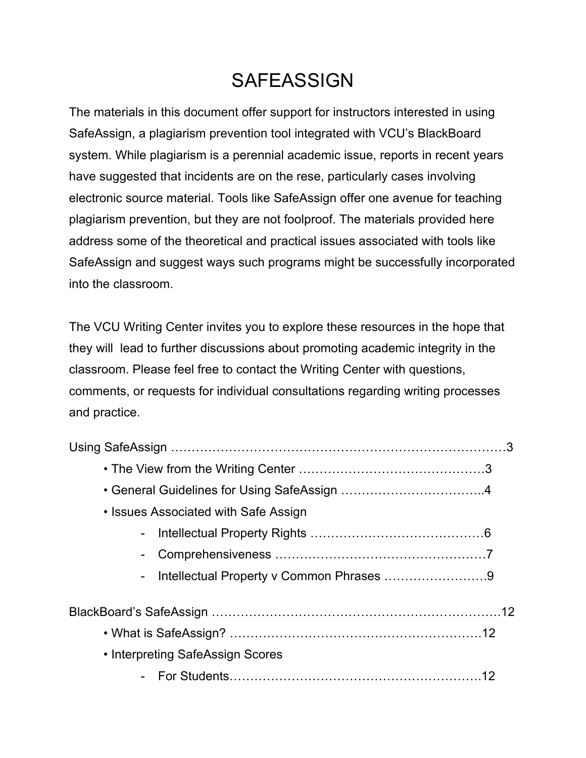## **SAFEASSIGN**

The materials in this document offer support for instructors interested in using SafeAssign, a plagiarism prevention tool integrated with VCU's BlackBoard system. While plagiarism is a perennial academic issue, reports in recent years have suggested that incidents are on the rese, particularly cases involving electronic source material. Tools like SafeAssign offer one avenue for teaching plagiarism prevention, but they are not foolproof. The materials provided here address some of the theoretical and practical issues associated with tools like SafeAssign and suggest ways such programs might be successfully incorporated into the classroom.

The VCU Writing Center invites you to explore these resources in the hope that they will lead to further discussions about promoting academic integrity in the classroom. Please feel free to contact the Writing Center with questions, comments, or requests for individual consultations regarding writing processes and practice.

| • Issues Associated with Safe Assign |  |
|--------------------------------------|--|
|                                      |  |
|                                      |  |
|                                      |  |
|                                      |  |
|                                      |  |
| • Interpreting SafeAssign Scores     |  |
|                                      |  |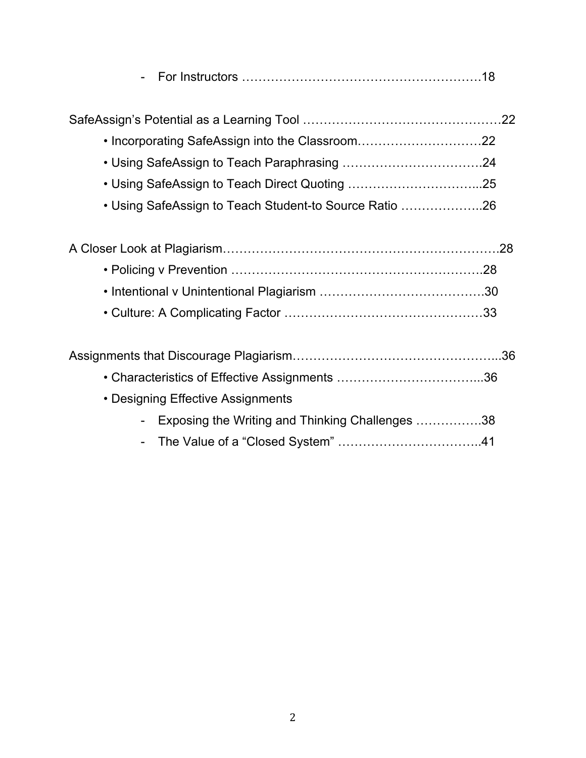|--|--|

- Incorporating SafeAssign into the Classroom…………………………22
- Using SafeAssign to Teach Paraphrasing …………………………….24
- Using SafeAssign to Teach Direct Quoting …………………………...25
- Using SafeAssign to Teach Student-to Source Ratio ………………..26

| • Designing Effective Assignments                 |  |
|---------------------------------------------------|--|
| - Exposing the Writing and Thinking Challenges 38 |  |
|                                                   |  |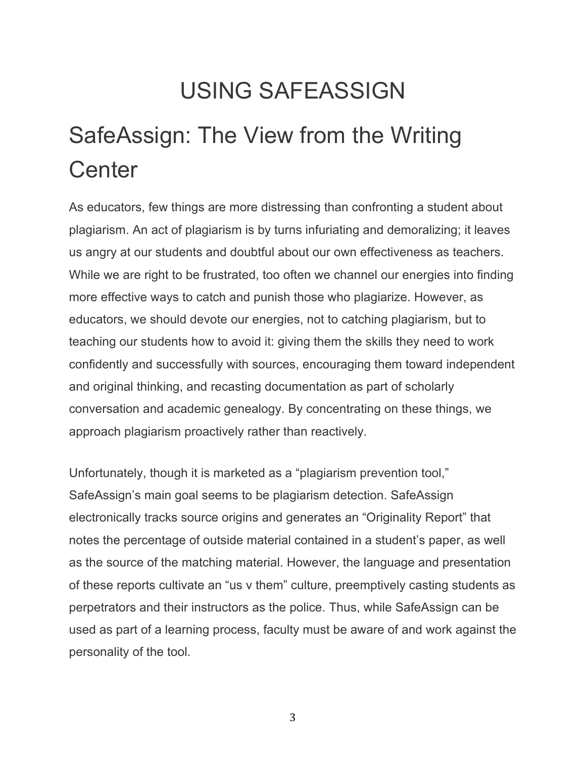## USING SAFEASSIGN

# SafeAssign: The View from the Writing **Center**

As educators, few things are more distressing than confronting a student about plagiarism. An act of plagiarism is by turns infuriating and demoralizing; it leaves us angry at our students and doubtful about our own effectiveness as teachers. While we are right to be frustrated, too often we channel our energies into finding more effective ways to catch and punish those who plagiarize. However, as educators, we should devote our energies, not to catching plagiarism, but to teaching our students how to avoid it: giving them the skills they need to work confidently and successfully with sources, encouraging them toward independent and original thinking, and recasting documentation as part of scholarly conversation and academic genealogy. By concentrating on these things, we approach plagiarism proactively rather than reactively.

Unfortunately, though it is marketed as a "plagiarism prevention tool," SafeAssign's main goal seems to be plagiarism detection. SafeAssign electronically tracks source origins and generates an "Originality Report" that notes the percentage of outside material contained in a student's paper, as well as the source of the matching material. However, the language and presentation of these reports cultivate an "us v them" culture, preemptively casting students as perpetrators and their instructors as the police. Thus, while SafeAssign can be used as part of a learning process, faculty must be aware of and work against the personality of the tool.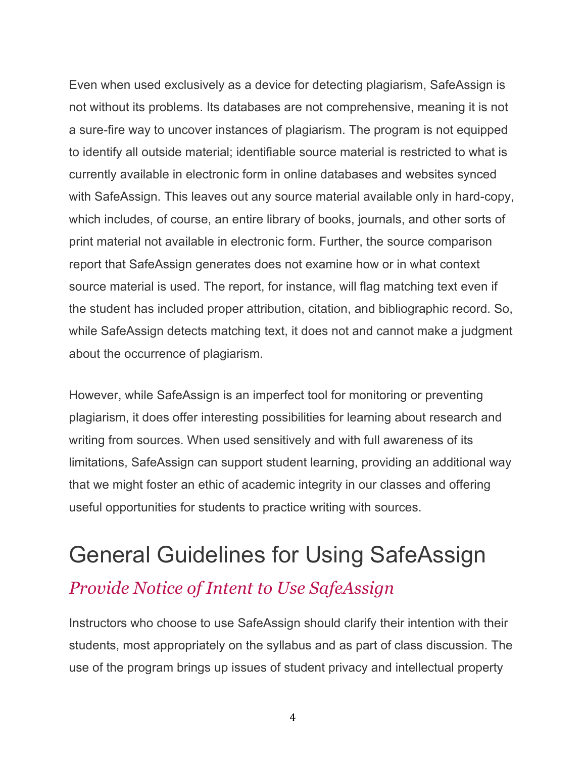Even when used exclusively as a device for detecting plagiarism, SafeAssign is not without its problems. Its databases are not comprehensive, meaning it is not a sure-fire way to uncover instances of plagiarism. The program is not equipped to identify all outside material; identifiable source material is restricted to what is currently available in electronic form in online databases and websites synced with SafeAssign. This leaves out any source material available only in hard-copy, which includes, of course, an entire library of books, journals, and other sorts of print material not available in electronic form. Further, the source comparison report that SafeAssign generates does not examine how or in what context source material is used. The report, for instance, will flag matching text even if the student has included proper attribution, citation, and bibliographic record. So, while SafeAssign detects matching text, it does not and cannot make a judgment about the occurrence of plagiarism.

However, while SafeAssign is an imperfect tool for monitoring or preventing plagiarism, it does offer interesting possibilities for learning about research and writing from sources. When used sensitively and with full awareness of its limitations, SafeAssign can support student learning, providing an additional way that we might foster an ethic of academic integrity in our classes and offering useful opportunities for students to practice writing with sources.

## General Guidelines for Using SafeAssign *Provide Notice of Intent to Use SafeAssign*

Instructors who choose to use SafeAssign should clarify their intention with their students, most appropriately on the syllabus and as part of class discussion. The use of the program brings up issues of student privacy and intellectual property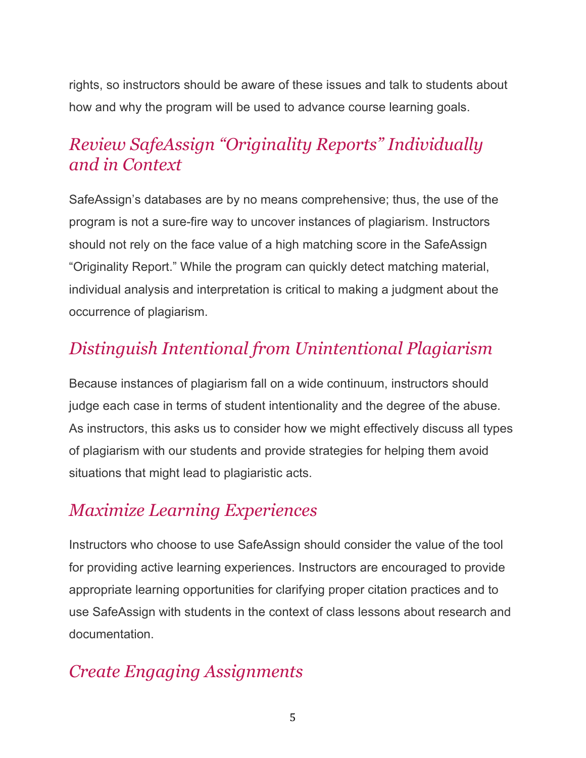rights, so instructors should be aware of these issues and talk to students about how and why the program will be used to advance course learning goals.

### *Review SafeAssign "Originality Reports" Individually and in Context*

SafeAssign's databases are by no means comprehensive; thus, the use of the program is not a sure-fire way to uncover instances of plagiarism. Instructors should not rely on the face value of a high matching score in the SafeAssign "Originality Report." While the program can quickly detect matching material, individual analysis and interpretation is critical to making a judgment about the occurrence of plagiarism.

### *Distinguish Intentional from Unintentional Plagiarism*

Because instances of plagiarism fall on a wide continuum, instructors should judge each case in terms of student intentionality and the degree of the abuse. As instructors, this asks us to consider how we might effectively discuss all types of plagiarism with our students and provide strategies for helping them avoid situations that might lead to plagiaristic acts.

#### *Maximize Learning Experiences*

Instructors who choose to use SafeAssign should consider the value of the tool for providing active learning experiences. Instructors are encouraged to provide appropriate learning opportunities for clarifying proper citation practices and to use SafeAssign with students in the context of class lessons about research and documentation.

#### *Create Engaging Assignments*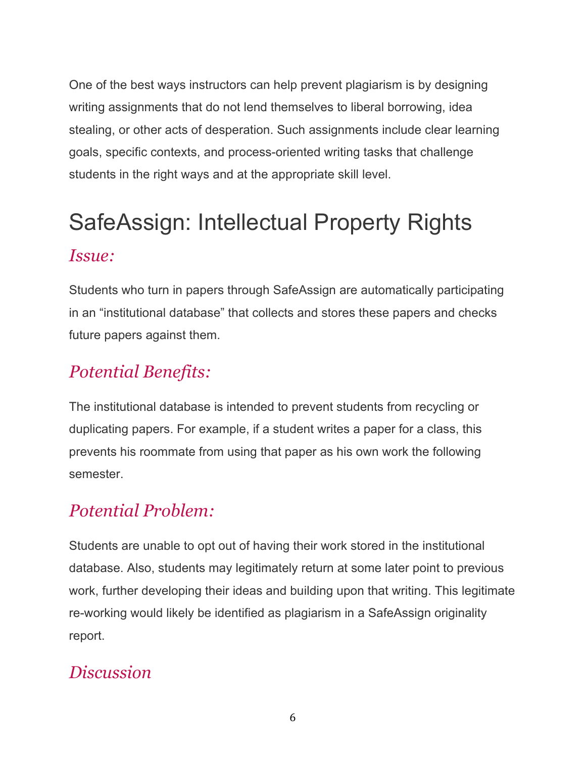One of the best ways instructors can help prevent plagiarism is by designing writing assignments that do not lend themselves to liberal borrowing, idea stealing, or other acts of desperation. Such assignments include clear learning goals, specific contexts, and process-oriented writing tasks that challenge students in the right ways and at the appropriate skill level.

# SafeAssign: Intellectual Property Rights *Issue:*

Students who turn in papers through SafeAssign are automatically participating in an "institutional database" that collects and stores these papers and checks future papers against them.

## *Potential Benefits:*

The institutional database is intended to prevent students from recycling or duplicating papers. For example, if a student writes a paper for a class, this prevents his roommate from using that paper as his own work the following semester.

## *Potential Problem:*

Students are unable to opt out of having their work stored in the institutional database. Also, students may legitimately return at some later point to previous work, further developing their ideas and building upon that writing. This legitimate re-working would likely be identified as plagiarism in a SafeAssign originality report.

#### *Discussion*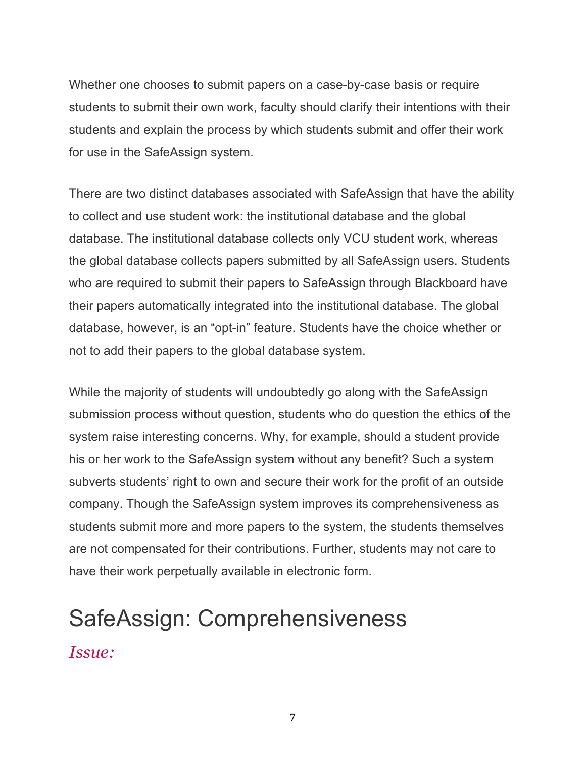Whether one chooses to submit papers on a case-by-case basis or require students to submit their own work, faculty should clarify their intentions with their students and explain the process by which students submit and offer their work for use in the SafeAssign system.

There are two distinct databases associated with SafeAssign that have the ability to collect and use student work: the institutional database and the global database. The institutional database collects only VCU student work, whereas the global database collects papers submitted by all SafeAssign users. Students who are required to submit their papers to SafeAssign through Blackboard have their papers automatically integrated into the institutional database. The global database, however, is an "opt-in" feature. Students have the choice whether or not to add their papers to the global database system.

While the majority of students will undoubtedly go along with the SafeAssign submission process without question, students who do question the ethics of the system raise interesting concerns. Why, for example, should a student provide his or her work to the SafeAssign system without any benefit? Such a system subverts students' right to own and secure their work for the profit of an outside company. Though the SafeAssign system improves its comprehensiveness as students submit more and more papers to the system, the students themselves are not compensated for their contributions. Further, students may not care to have their work perpetually available in electronic form.

## SafeAssign: Comprehensiveness *Issue:*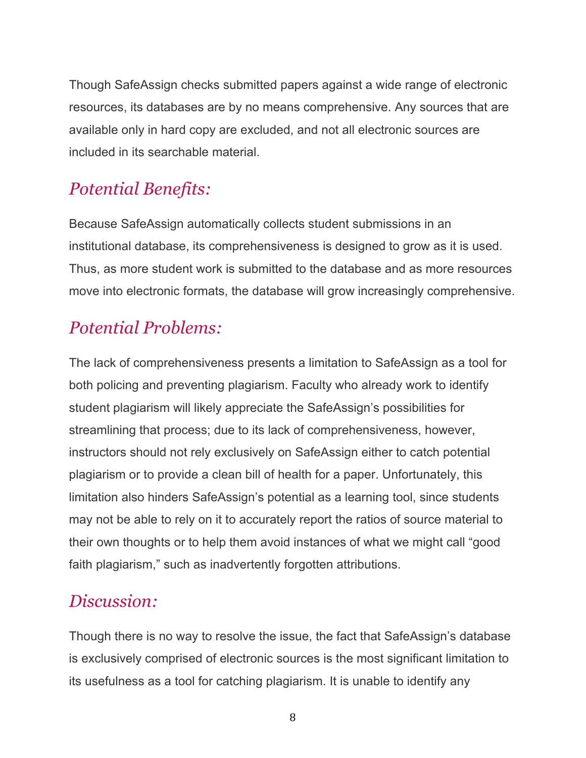Though SafeAssign checks submitted papers against a wide range of electronic resources, its databases are by no means comprehensive. Any sources that are available only in hard copy are excluded, and not all electronic sources are included in its searchable material.

### *Potential Benefits:*

Because SafeAssign automatically collects student submissions in an institutional database, its comprehensiveness is designed to grow as it is used. Thus, as more student work is submitted to the database and as more resources move into electronic formats, the database will grow increasingly comprehensive.

### *Potential Problems:*

The lack of comprehensiveness presents a limitation to SafeAssign as a tool for both policing and preventing plagiarism. Faculty who already work to identify student plagiarism will likely appreciate the SafeAssign's possibilities for streamlining that process; due to its lack of comprehensiveness, however, instructors should not rely exclusively on SafeAssign either to catch potential plagiarism or to provide a clean bill of health for a paper. Unfortunately, this limitation also hinders SafeAssign's potential as a learning tool, since students may not be able to rely on it to accurately report the ratios of source material to their own thoughts or to help them avoid instances of what we might call "good faith plagiarism," such as inadvertently forgotten attributions.

#### *Discussion:*

Though there is no way to resolve the issue, the fact that SafeAssign's database is exclusively comprised of electronic sources is the most significant limitation to its usefulness as a tool for catching plagiarism. It is unable to identify any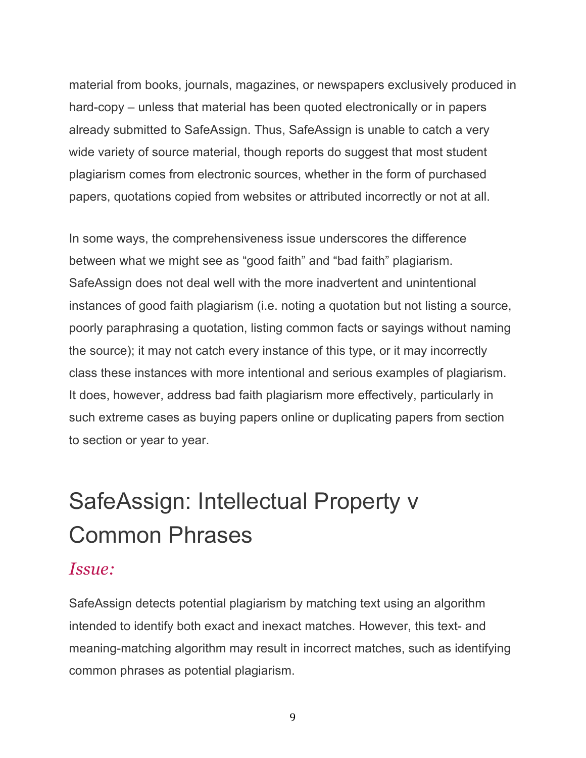material from books, journals, magazines, or newspapers exclusively produced in hard-copy – unless that material has been quoted electronically or in papers already submitted to SafeAssign. Thus, SafeAssign is unable to catch a very wide variety of source material, though reports do suggest that most student plagiarism comes from electronic sources, whether in the form of purchased papers, quotations copied from websites or attributed incorrectly or not at all.

In some ways, the comprehensiveness issue underscores the difference between what we might see as "good faith" and "bad faith" plagiarism. SafeAssign does not deal well with the more inadvertent and unintentional instances of good faith plagiarism (i.e. noting a quotation but not listing a source, poorly paraphrasing a quotation, listing common facts or sayings without naming the source); it may not catch every instance of this type, or it may incorrectly class these instances with more intentional and serious examples of plagiarism. It does, however, address bad faith plagiarism more effectively, particularly in such extreme cases as buying papers online or duplicating papers from section to section or year to year.

# SafeAssign: Intellectual Property v Common Phrases

#### *Issue:*

SafeAssign detects potential plagiarism by matching text using an algorithm intended to identify both exact and inexact matches. However, this text- and meaning-matching algorithm may result in incorrect matches, such as identifying common phrases as potential plagiarism.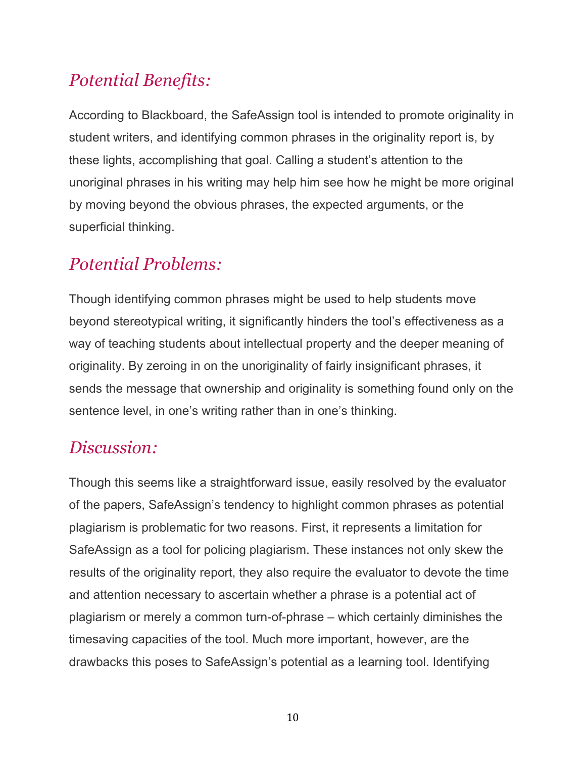## *Potential Benefits:*

According to Blackboard, the SafeAssign tool is intended to promote originality in student writers, and identifying common phrases in the originality report is, by these lights, accomplishing that goal. Calling a student's attention to the unoriginal phrases in his writing may help him see how he might be more original by moving beyond the obvious phrases, the expected arguments, or the superficial thinking.

### *Potential Problems:*

Though identifying common phrases might be used to help students move beyond stereotypical writing, it significantly hinders the tool's effectiveness as a way of teaching students about intellectual property and the deeper meaning of originality. By zeroing in on the unoriginality of fairly insignificant phrases, it sends the message that ownership and originality is something found only on the sentence level, in one's writing rather than in one's thinking.

#### *Discussion:*

Though this seems like a straightforward issue, easily resolved by the evaluator of the papers, SafeAssign's tendency to highlight common phrases as potential plagiarism is problematic for two reasons. First, it represents a limitation for SafeAssign as a tool for policing plagiarism. These instances not only skew the results of the originality report, they also require the evaluator to devote the time and attention necessary to ascertain whether a phrase is a potential act of plagiarism or merely a common turn-of-phrase – which certainly diminishes the timesaving capacities of the tool. Much more important, however, are the drawbacks this poses to SafeAssign's potential as a learning tool. Identifying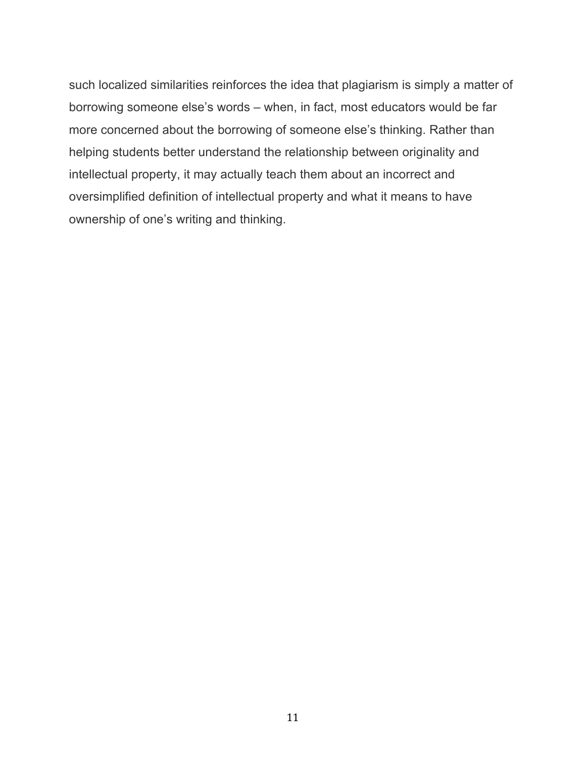such localized similarities reinforces the idea that plagiarism is simply a matter of borrowing someone else's words – when, in fact, most educators would be far more concerned about the borrowing of someone else's thinking. Rather than helping students better understand the relationship between originality and intellectual property, it may actually teach them about an incorrect and oversimplified definition of intellectual property and what it means to have ownership of one's writing and thinking.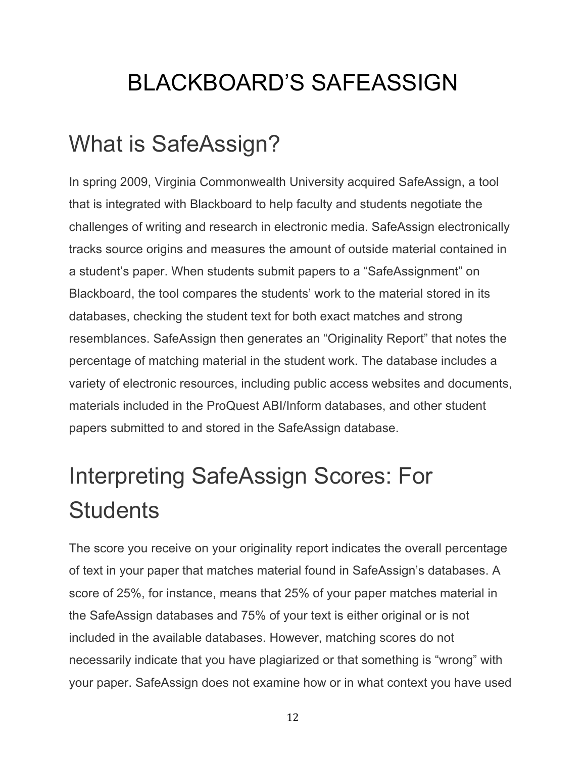# BLACKBOARD'S SAFEASSIGN

## What is SafeAssign?

In spring 2009, Virginia Commonwealth University acquired SafeAssign, a tool that is integrated with Blackboard to help faculty and students negotiate the challenges of writing and research in electronic media. SafeAssign electronically tracks source origins and measures the amount of outside material contained in a student's paper. When students submit papers to a "SafeAssignment" on Blackboard, the tool compares the students' work to the material stored in its databases, checking the student text for both exact matches and strong resemblances. SafeAssign then generates an "Originality Report" that notes the percentage of matching material in the student work. The database includes a variety of electronic resources, including public access websites and documents, materials included in the ProQuest ABI/Inform databases, and other student papers submitted to and stored in the SafeAssign database.

# Interpreting SafeAssign Scores: For **Students**

The score you receive on your originality report indicates the overall percentage of text in your paper that matches material found in SafeAssign's databases. A score of 25%, for instance, means that 25% of your paper matches material in the SafeAssign databases and 75% of your text is either original or is not included in the available databases. However, matching scores do not necessarily indicate that you have plagiarized or that something is "wrong" with your paper. SafeAssign does not examine how or in what context you have used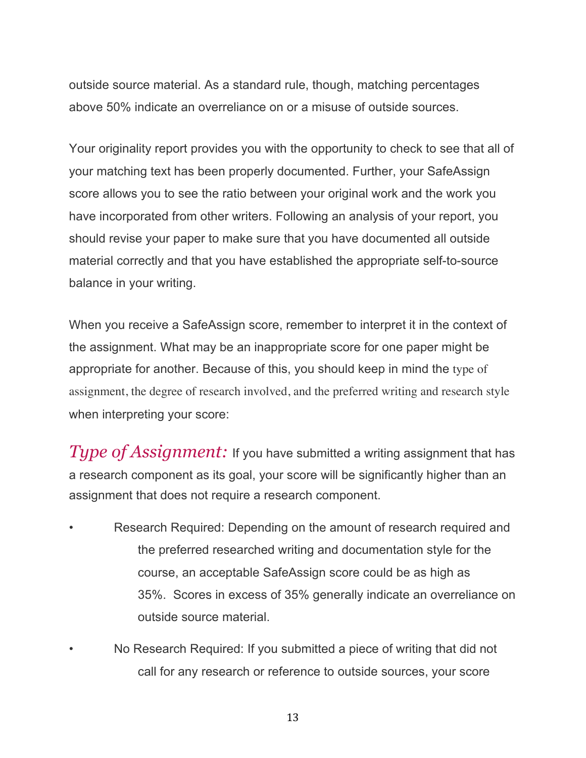outside source material. As a standard rule, though, matching percentages above 50% indicate an overreliance on or a misuse of outside sources.

Your originality report provides you with the opportunity to check to see that all of your matching text has been properly documented. Further, your SafeAssign score allows you to see the ratio between your original work and the work you have incorporated from other writers. Following an analysis of your report, you should revise your paper to make sure that you have documented all outside material correctly and that you have established the appropriate self-to-source balance in your writing.

When you receive a SafeAssign score, remember to interpret it in the context of the assignment. What may be an inappropriate score for one paper might be appropriate for another. Because of this, you should keep in mind the type of assignment, the degree of research involved, and the preferred writing and research style when interpreting your score:

*Type of Assignment:* If you have submitted a writing assignment that has a research component as its goal, your score will be significantly higher than an assignment that does not require a research component.

- Research Required: Depending on the amount of research required and the preferred researched writing and documentation style for the course, an acceptable SafeAssign score could be as high as 35%. Scores in excess of 35% generally indicate an overreliance on outside source material.
	- No Research Required: If you submitted a piece of writing that did not call for any research or reference to outside sources, your score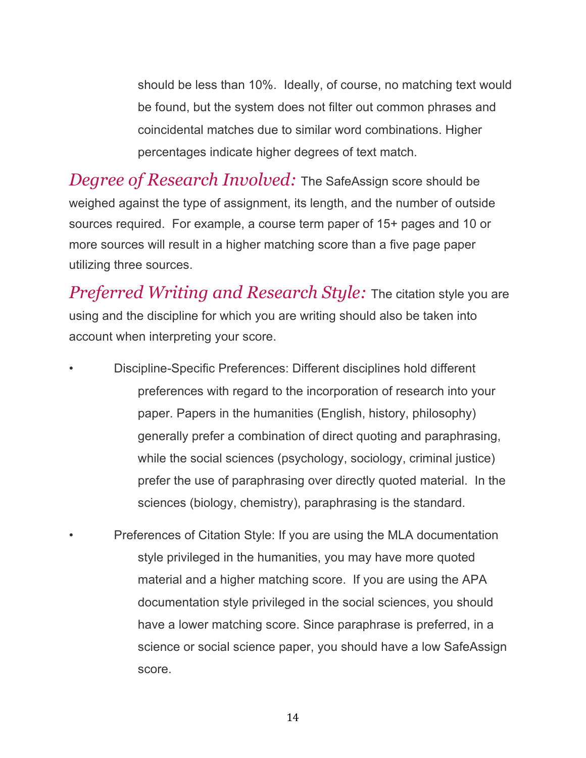should be less than 10%. Ideally, of course, no matching text would be found, but the system does not filter out common phrases and coincidental matches due to similar word combinations. Higher percentages indicate higher degrees of text match.

*Degree of Research Involved:* The SafeAssign score should be weighed against the type of assignment, its length, and the number of outside sources required. For example, a course term paper of 15+ pages and 10 or more sources will result in a higher matching score than a five page paper utilizing three sources.

*Preferred Writing and Research Style:* The citation style you are using and the discipline for which you are writing should also be taken into account when interpreting your score.

- Discipline-Specific Preferences: Different disciplines hold different preferences with regard to the incorporation of research into your paper. Papers in the humanities (English, history, philosophy) generally prefer a combination of direct quoting and paraphrasing, while the social sciences (psychology, sociology, criminal justice) prefer the use of paraphrasing over directly quoted material. In the sciences (biology, chemistry), paraphrasing is the standard.
	- Preferences of Citation Style: If you are using the MLA documentation style privileged in the humanities, you may have more quoted material and a higher matching score. If you are using the APA documentation style privileged in the social sciences, you should have a lower matching score. Since paraphrase is preferred, in a science or social science paper, you should have a low SafeAssign score.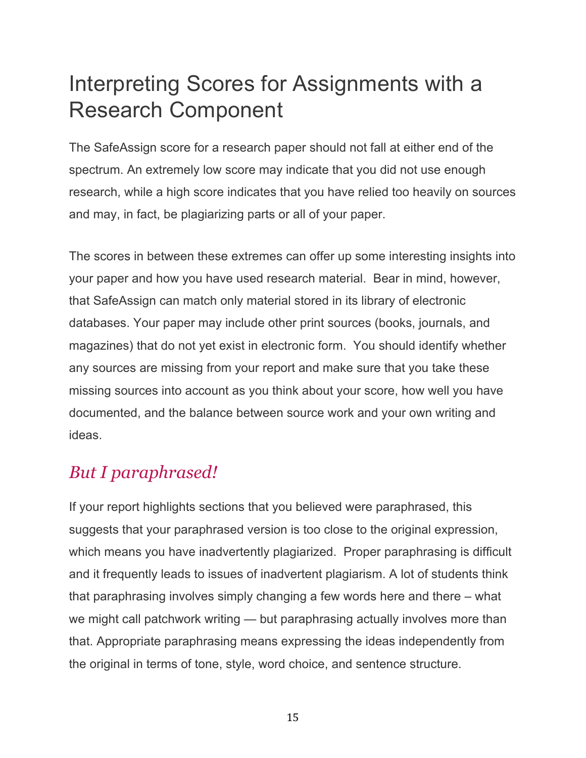## Interpreting Scores for Assignments with a Research Component

The SafeAssign score for a research paper should not fall at either end of the spectrum. An extremely low score may indicate that you did not use enough research, while a high score indicates that you have relied too heavily on sources and may, in fact, be plagiarizing parts or all of your paper.

The scores in between these extremes can offer up some interesting insights into your paper and how you have used research material. Bear in mind, however, that SafeAssign can match only material stored in its library of electronic databases. Your paper may include other print sources (books, journals, and magazines) that do not yet exist in electronic form. You should identify whether any sources are missing from your report and make sure that you take these missing sources into account as you think about your score, how well you have documented, and the balance between source work and your own writing and ideas.

### *But I paraphrased!*

If your report highlights sections that you believed were paraphrased, this suggests that your paraphrased version is too close to the original expression, which means you have inadvertently plagiarized. Proper paraphrasing is difficult and it frequently leads to issues of inadvertent plagiarism. A lot of students think that paraphrasing involves simply changing a few words here and there – what we might call patchwork writing — but paraphrasing actually involves more than that. Appropriate paraphrasing means expressing the ideas independently from the original in terms of tone, style, word choice, and sentence structure.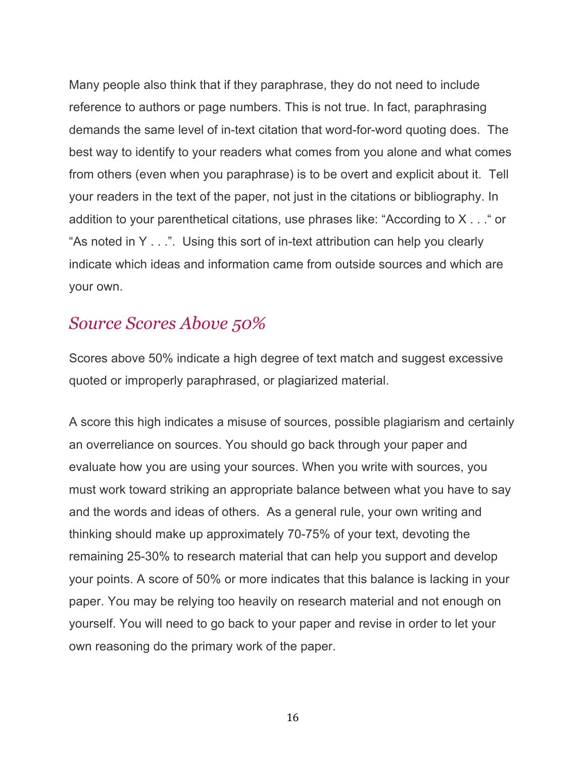Many people also think that if they paraphrase, they do not need to include reference to authors or page numbers. This is not true. In fact, paraphrasing demands the same level of in-text citation that word-for-word quoting does. The best way to identify to your readers what comes from you alone and what comes from others (even when you paraphrase) is to be overt and explicit about it. Tell your readers in the text of the paper, not just in the citations or bibliography. In addition to your parenthetical citations, use phrases like: "According to X . . ." or "As noted in Y . . .". Using this sort of in-text attribution can help you clearly indicate which ideas and information came from outside sources and which are your own.

#### *Source Scores Above 50%*

Scores above 50% indicate a high degree of text match and suggest excessive quoted or improperly paraphrased, or plagiarized material.

A score this high indicates a misuse of sources, possible plagiarism and certainly an overreliance on sources. You should go back through your paper and evaluate how you are using your sources. When you write with sources, you must work toward striking an appropriate balance between what you have to say and the words and ideas of others. As a general rule, your own writing and thinking should make up approximately 70-75% of your text, devoting the remaining 25-30% to research material that can help you support and develop your points. A score of 50% or more indicates that this balance is lacking in your paper. You may be relying too heavily on research material and not enough on yourself. You will need to go back to your paper and revise in order to let your own reasoning do the primary work of the paper.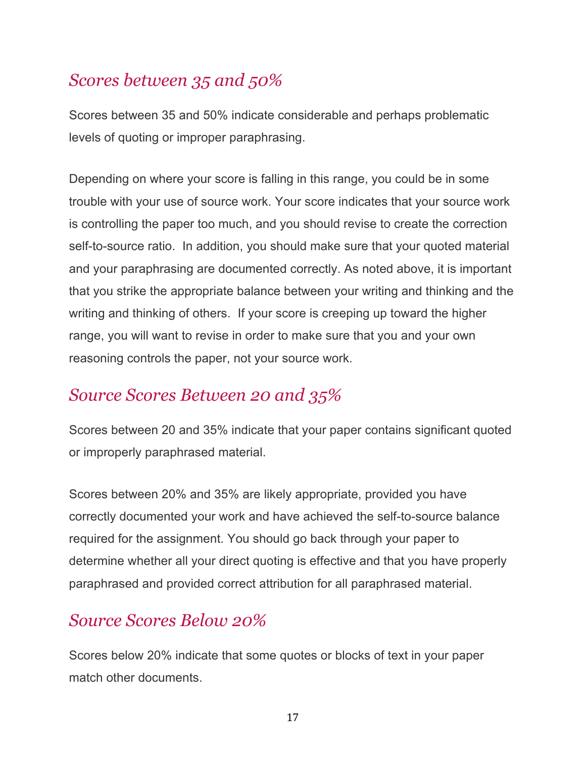## *Scores between 35 and 50%*

Scores between 35 and 50% indicate considerable and perhaps problematic levels of quoting or improper paraphrasing.

Depending on where your score is falling in this range, you could be in some trouble with your use of source work. Your score indicates that your source work is controlling the paper too much, and you should revise to create the correction self-to-source ratio. In addition, you should make sure that your quoted material and your paraphrasing are documented correctly. As noted above, it is important that you strike the appropriate balance between your writing and thinking and the writing and thinking of others. If your score is creeping up toward the higher range, you will want to revise in order to make sure that you and your own reasoning controls the paper, not your source work.

### *Source Scores Between 20 and 35%*

Scores between 20 and 35% indicate that your paper contains significant quoted or improperly paraphrased material.

Scores between 20% and 35% are likely appropriate, provided you have correctly documented your work and have achieved the self-to-source balance required for the assignment. You should go back through your paper to determine whether all your direct quoting is effective and that you have properly paraphrased and provided correct attribution for all paraphrased material.

#### *Source Scores Below 20%*

Scores below 20% indicate that some quotes or blocks of text in your paper match other documents.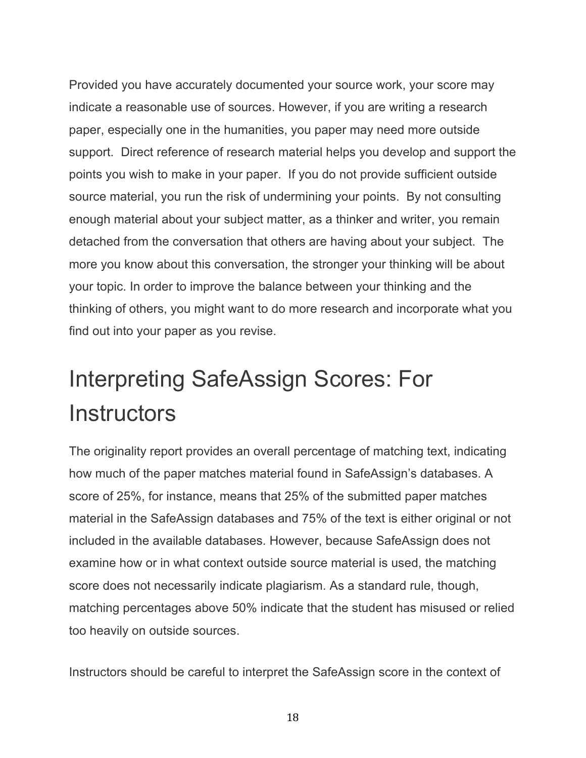Provided you have accurately documented your source work, your score may indicate a reasonable use of sources. However, if you are writing a research paper, especially one in the humanities, you paper may need more outside support. Direct reference of research material helps you develop and support the points you wish to make in your paper. If you do not provide sufficient outside source material, you run the risk of undermining your points. By not consulting enough material about your subject matter, as a thinker and writer, you remain detached from the conversation that others are having about your subject. The more you know about this conversation, the stronger your thinking will be about your topic. In order to improve the balance between your thinking and the thinking of others, you might want to do more research and incorporate what you find out into your paper as you revise.

# Interpreting SafeAssign Scores: For **Instructors**

The originality report provides an overall percentage of matching text, indicating how much of the paper matches material found in SafeAssign's databases. A score of 25%, for instance, means that 25% of the submitted paper matches material in the SafeAssign databases and 75% of the text is either original or not included in the available databases. However, because SafeAssign does not examine how or in what context outside source material is used, the matching score does not necessarily indicate plagiarism. As a standard rule, though, matching percentages above 50% indicate that the student has misused or relied too heavily on outside sources.

Instructors should be careful to interpret the SafeAssign score in the context of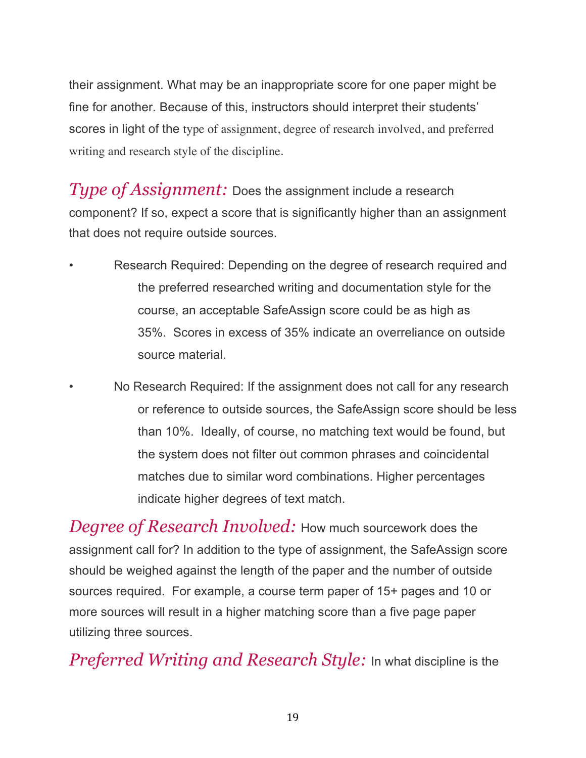their assignment. What may be an inappropriate score for one paper might be fine for another. Because of this, instructors should interpret their students' scores in light of the type of assignment, degree of research involved, and preferred writing and research style of the discipline.

*Type of Assignment:* Does the assignment include a research component? If so, expect a score that is significantly higher than an assignment that does not require outside sources.

- Research Required: Depending on the degree of research required and the preferred researched writing and documentation style for the course, an acceptable SafeAssign score could be as high as 35%. Scores in excess of 35% indicate an overreliance on outside source material.
	- No Research Required: If the assignment does not call for any research or reference to outside sources, the SafeAssign score should be less than 10%. Ideally, of course, no matching text would be found, but the system does not filter out common phrases and coincidental matches due to similar word combinations. Higher percentages indicate higher degrees of text match.

*Degree of Research Involved:* How much sourcework does the assignment call for? In addition to the type of assignment, the SafeAssign score should be weighed against the length of the paper and the number of outside sources required. For example, a course term paper of 15+ pages and 10 or more sources will result in a higher matching score than a five page paper utilizing three sources.

*Preferred Writing and Research Style:* In what discipline is the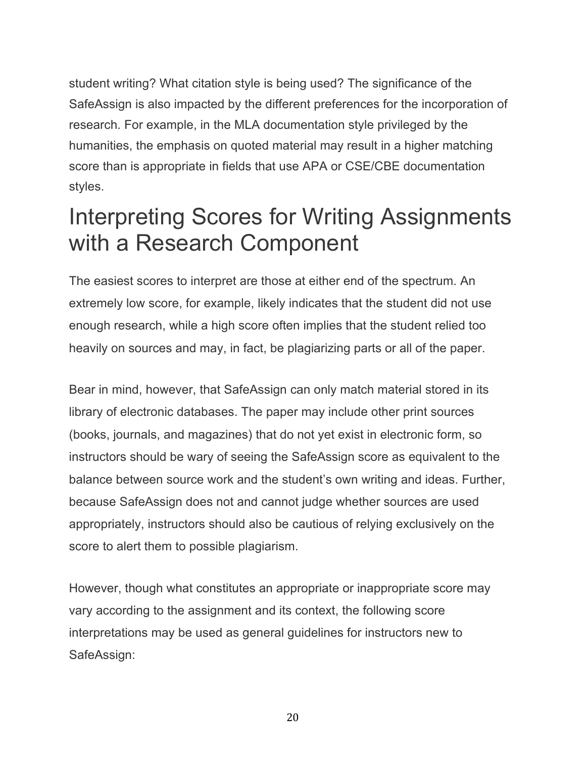student writing? What citation style is being used? The significance of the SafeAssign is also impacted by the different preferences for the incorporation of research. For example, in the MLA documentation style privileged by the humanities, the emphasis on quoted material may result in a higher matching score than is appropriate in fields that use APA or CSE/CBE documentation styles.

## Interpreting Scores for Writing Assignments with a Research Component

The easiest scores to interpret are those at either end of the spectrum. An extremely low score, for example, likely indicates that the student did not use enough research, while a high score often implies that the student relied too heavily on sources and may, in fact, be plagiarizing parts or all of the paper.

Bear in mind, however, that SafeAssign can only match material stored in its library of electronic databases. The paper may include other print sources (books, journals, and magazines) that do not yet exist in electronic form, so instructors should be wary of seeing the SafeAssign score as equivalent to the balance between source work and the student's own writing and ideas. Further, because SafeAssign does not and cannot judge whether sources are used appropriately, instructors should also be cautious of relying exclusively on the score to alert them to possible plagiarism.

However, though what constitutes an appropriate or inappropriate score may vary according to the assignment and its context, the following score interpretations may be used as general guidelines for instructors new to SafeAssign: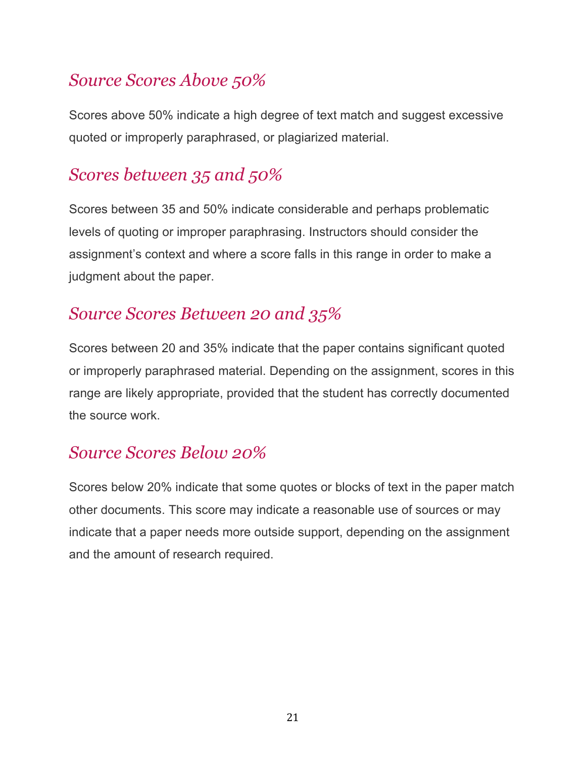### *Source Scores Above 50%*

Scores above 50% indicate a high degree of text match and suggest excessive quoted or improperly paraphrased, or plagiarized material.

### *Scores between 35 and 50%*

Scores between 35 and 50% indicate considerable and perhaps problematic levels of quoting or improper paraphrasing. Instructors should consider the assignment's context and where a score falls in this range in order to make a judgment about the paper.

#### *Source Scores Between 20 and 35%*

Scores between 20 and 35% indicate that the paper contains significant quoted or improperly paraphrased material. Depending on the assignment, scores in this range are likely appropriate, provided that the student has correctly documented the source work.

#### *Source Scores Below 20%*

Scores below 20% indicate that some quotes or blocks of text in the paper match other documents. This score may indicate a reasonable use of sources or may indicate that a paper needs more outside support, depending on the assignment and the amount of research required.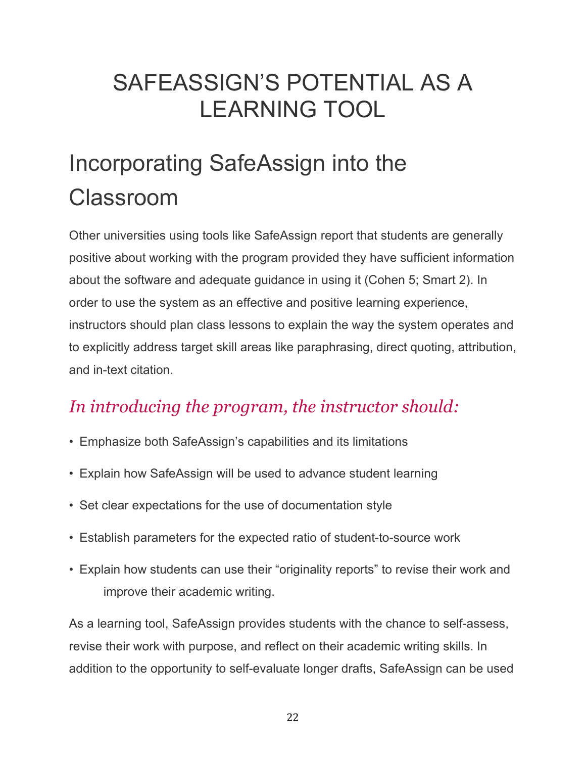## SAFEASSIGN'S POTENTIAL AS A LEARNING TOOL

# Incorporating SafeAssign into the Classroom

Other universities using tools like SafeAssign report that students are generally positive about working with the program provided they have sufficient information about the software and adequate guidance in using it (Cohen 5; Smart 2). In order to use the system as an effective and positive learning experience, instructors should plan class lessons to explain the way the system operates and to explicitly address target skill areas like paraphrasing, direct quoting, attribution, and in-text citation.

## *In introducing the program, the instructor should:*

- Emphasize both SafeAssign's capabilities and its limitations
- Explain how SafeAssign will be used to advance student learning
- Set clear expectations for the use of documentation style
- Establish parameters for the expected ratio of student-to-source work
- Explain how students can use their "originality reports" to revise their work and improve their academic writing.

As a learning tool, SafeAssign provides students with the chance to self-assess, revise their work with purpose, and reflect on their academic writing skills. In addition to the opportunity to self-evaluate longer drafts, SafeAssign can be used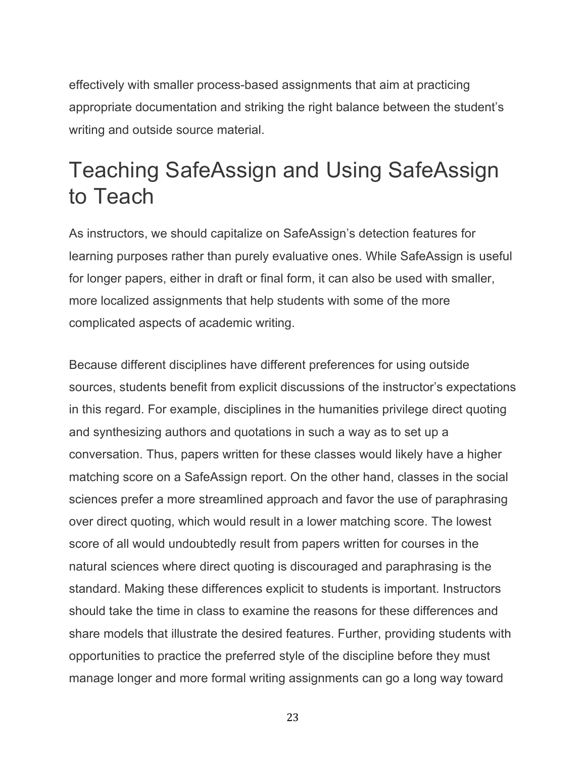effectively with smaller process-based assignments that aim at practicing appropriate documentation and striking the right balance between the student's writing and outside source material.

## Teaching SafeAssign and Using SafeAssign to Teach

As instructors, we should capitalize on SafeAssign's detection features for learning purposes rather than purely evaluative ones. While SafeAssign is useful for longer papers, either in draft or final form, it can also be used with smaller, more localized assignments that help students with some of the more complicated aspects of academic writing.

Because different disciplines have different preferences for using outside sources, students benefit from explicit discussions of the instructor's expectations in this regard. For example, disciplines in the humanities privilege direct quoting and synthesizing authors and quotations in such a way as to set up a conversation. Thus, papers written for these classes would likely have a higher matching score on a SafeAssign report. On the other hand, classes in the social sciences prefer a more streamlined approach and favor the use of paraphrasing over direct quoting, which would result in a lower matching score. The lowest score of all would undoubtedly result from papers written for courses in the natural sciences where direct quoting is discouraged and paraphrasing is the standard. Making these differences explicit to students is important. Instructors should take the time in class to examine the reasons for these differences and share models that illustrate the desired features. Further, providing students with opportunities to practice the preferred style of the discipline before they must manage longer and more formal writing assignments can go a long way toward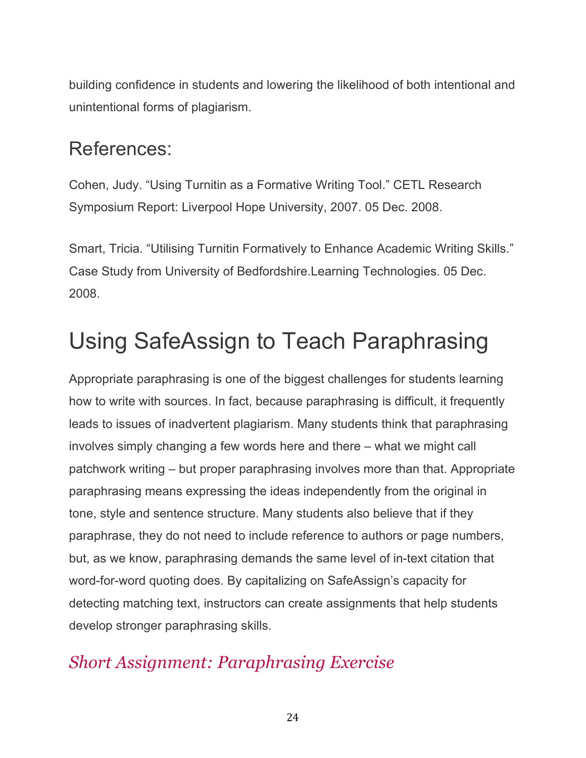building confidence in students and lowering the likelihood of both intentional and unintentional forms of plagiarism.

### References:

Cohen, Judy. "Using Turnitin as a Formative Writing Tool." CETL Research Symposium Report: Liverpool Hope University, 2007. 05 Dec. 2008.

Smart, Tricia. "Utilising Turnitin Formatively to Enhance Academic Writing Skills." Case Study from University of Bedfordshire.Learning Technologies. 05 Dec. 2008.

## Using SafeAssign to Teach Paraphrasing

Appropriate paraphrasing is one of the biggest challenges for students learning how to write with sources. In fact, because paraphrasing is difficult, it frequently leads to issues of inadvertent plagiarism. Many students think that paraphrasing involves simply changing a few words here and there – what we might call patchwork writing – but proper paraphrasing involves more than that. Appropriate paraphrasing means expressing the ideas independently from the original in tone, style and sentence structure. Many students also believe that if they paraphrase, they do not need to include reference to authors or page numbers, but, as we know, paraphrasing demands the same level of in-text citation that word-for-word quoting does. By capitalizing on SafeAssign's capacity for detecting matching text, instructors can create assignments that help students develop stronger paraphrasing skills.

#### *Short Assignment: Paraphrasing Exercise*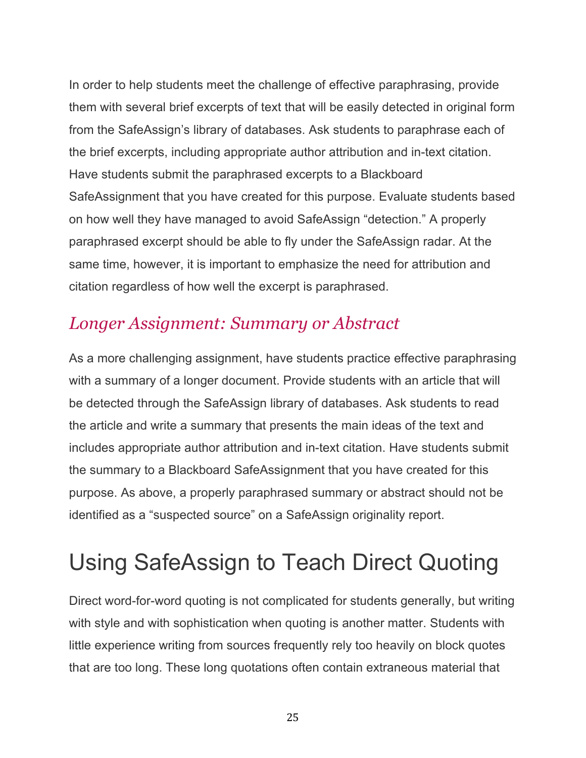In order to help students meet the challenge of effective paraphrasing, provide them with several brief excerpts of text that will be easily detected in original form from the SafeAssign's library of databases. Ask students to paraphrase each of the brief excerpts, including appropriate author attribution and in-text citation. Have students submit the paraphrased excerpts to a Blackboard SafeAssignment that you have created for this purpose. Evaluate students based on how well they have managed to avoid SafeAssign "detection." A properly paraphrased excerpt should be able to fly under the SafeAssign radar. At the same time, however, it is important to emphasize the need for attribution and citation regardless of how well the excerpt is paraphrased.

#### *Longer Assignment: Summary or Abstract*

As a more challenging assignment, have students practice effective paraphrasing with a summary of a longer document. Provide students with an article that will be detected through the SafeAssign library of databases. Ask students to read the article and write a summary that presents the main ideas of the text and includes appropriate author attribution and in-text citation. Have students submit the summary to a Blackboard SafeAssignment that you have created for this purpose. As above, a properly paraphrased summary or abstract should not be identified as a "suspected source" on a SafeAssign originality report.

# Using SafeAssign to Teach Direct Quoting

Direct word-for-word quoting is not complicated for students generally, but writing with style and with sophistication when quoting is another matter. Students with little experience writing from sources frequently rely too heavily on block quotes that are too long. These long quotations often contain extraneous material that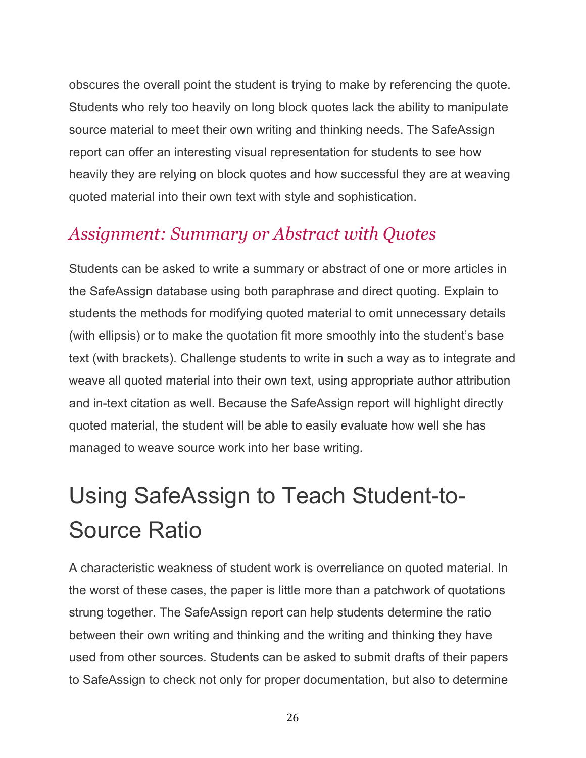obscures the overall point the student is trying to make by referencing the quote. Students who rely too heavily on long block quotes lack the ability to manipulate source material to meet their own writing and thinking needs. The SafeAssign report can offer an interesting visual representation for students to see how heavily they are relying on block quotes and how successful they are at weaving quoted material into their own text with style and sophistication.

#### *Assignment: Summary or Abstract with Quotes*

Students can be asked to write a summary or abstract of one or more articles in the SafeAssign database using both paraphrase and direct quoting. Explain to students the methods for modifying quoted material to omit unnecessary details (with ellipsis) or to make the quotation fit more smoothly into the student's base text (with brackets). Challenge students to write in such a way as to integrate and weave all quoted material into their own text, using appropriate author attribution and in-text citation as well. Because the SafeAssign report will highlight directly quoted material, the student will be able to easily evaluate how well she has managed to weave source work into her base writing.

# Using SafeAssign to Teach Student-to-Source Ratio

A characteristic weakness of student work is overreliance on quoted material. In the worst of these cases, the paper is little more than a patchwork of quotations strung together. The SafeAssign report can help students determine the ratio between their own writing and thinking and the writing and thinking they have used from other sources. Students can be asked to submit drafts of their papers to SafeAssign to check not only for proper documentation, but also to determine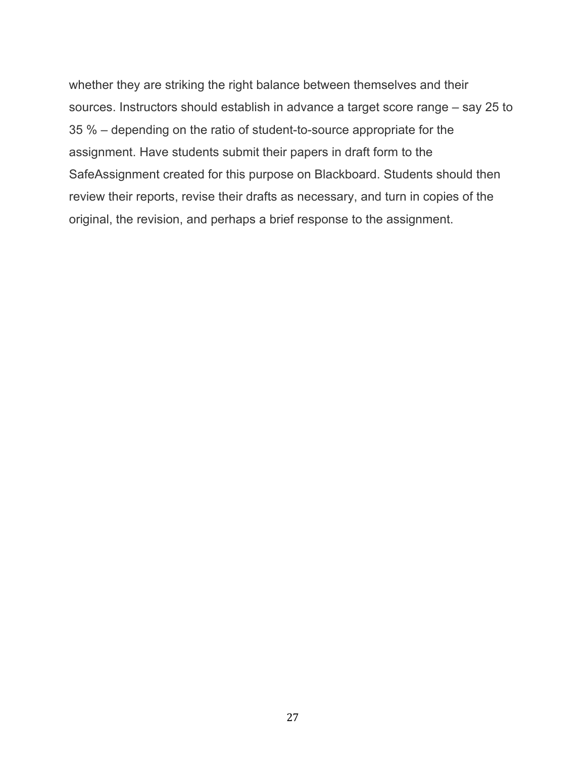whether they are striking the right balance between themselves and their sources. Instructors should establish in advance a target score range – say 25 to 35 % – depending on the ratio of student-to-source appropriate for the assignment. Have students submit their papers in draft form to the SafeAssignment created for this purpose on Blackboard. Students should then review their reports, revise their drafts as necessary, and turn in copies of the original, the revision, and perhaps a brief response to the assignment.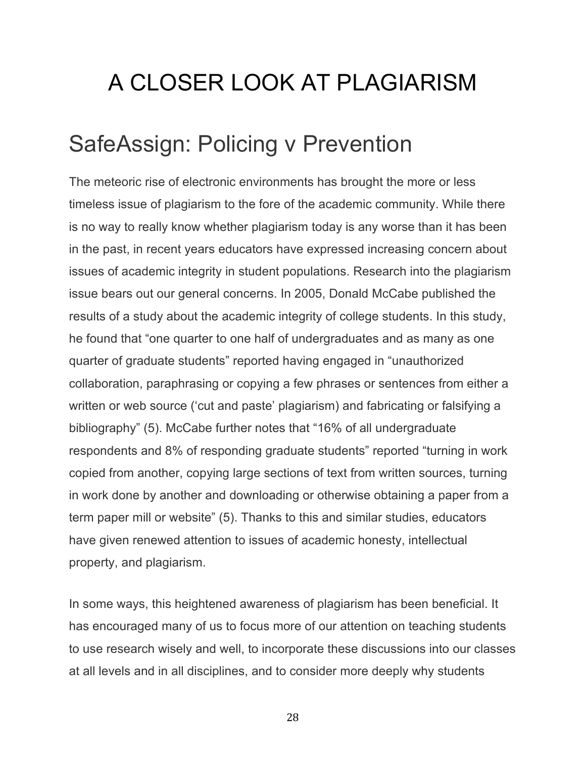# A CLOSER LOOK AT PLAGIARISM

## SafeAssign: Policing v Prevention

The meteoric rise of electronic environments has brought the more or less timeless issue of plagiarism to the fore of the academic community. While there is no way to really know whether plagiarism today is any worse than it has been in the past, in recent years educators have expressed increasing concern about issues of academic integrity in student populations. Research into the plagiarism issue bears out our general concerns. In 2005, Donald McCabe published the results of a study about the academic integrity of college students. In this study, he found that "one quarter to one half of undergraduates and as many as one quarter of graduate students" reported having engaged in "unauthorized collaboration, paraphrasing or copying a few phrases or sentences from either a written or web source ('cut and paste' plagiarism) and fabricating or falsifying a bibliography" (5). McCabe further notes that "16% of all undergraduate respondents and 8% of responding graduate students" reported "turning in work copied from another, copying large sections of text from written sources, turning in work done by another and downloading or otherwise obtaining a paper from a term paper mill or website" (5). Thanks to this and similar studies, educators have given renewed attention to issues of academic honesty, intellectual property, and plagiarism.

In some ways, this heightened awareness of plagiarism has been beneficial. It has encouraged many of us to focus more of our attention on teaching students to use research wisely and well, to incorporate these discussions into our classes at all levels and in all disciplines, and to consider more deeply why students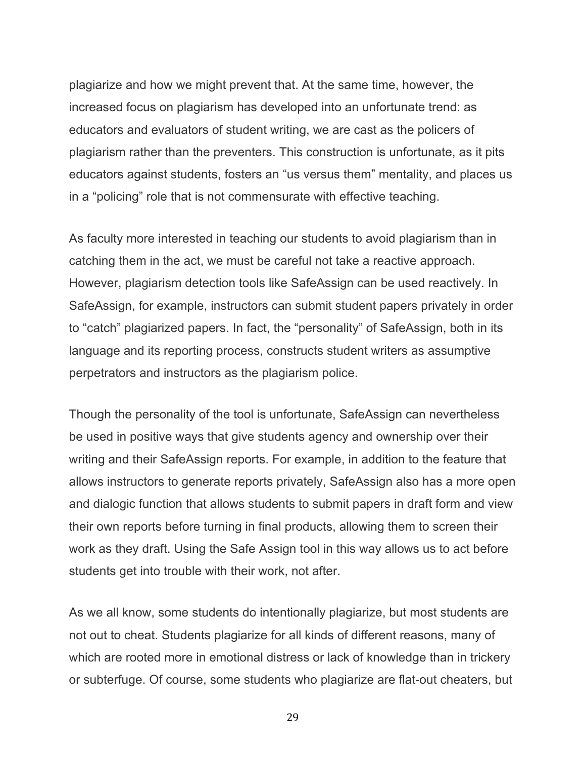plagiarize and how we might prevent that. At the same time, however, the increased focus on plagiarism has developed into an unfortunate trend: as educators and evaluators of student writing, we are cast as the policers of plagiarism rather than the preventers. This construction is unfortunate, as it pits educators against students, fosters an "us versus them" mentality, and places us in a "policing" role that is not commensurate with effective teaching.

As faculty more interested in teaching our students to avoid plagiarism than in catching them in the act, we must be careful not take a reactive approach. However, plagiarism detection tools like SafeAssign can be used reactively. In SafeAssign, for example, instructors can submit student papers privately in order to "catch" plagiarized papers. In fact, the "personality" of SafeAssign, both in its language and its reporting process, constructs student writers as assumptive perpetrators and instructors as the plagiarism police.

Though the personality of the tool is unfortunate, SafeAssign can nevertheless be used in positive ways that give students agency and ownership over their writing and their SafeAssign reports. For example, in addition to the feature that allows instructors to generate reports privately, SafeAssign also has a more open and dialogic function that allows students to submit papers in draft form and view their own reports before turning in final products, allowing them to screen their work as they draft. Using the Safe Assign tool in this way allows us to act before students get into trouble with their work, not after.

As we all know, some students do intentionally plagiarize, but most students are not out to cheat. Students plagiarize for all kinds of different reasons, many of which are rooted more in emotional distress or lack of knowledge than in trickery or subterfuge. Of course, some students who plagiarize are flat-out cheaters, but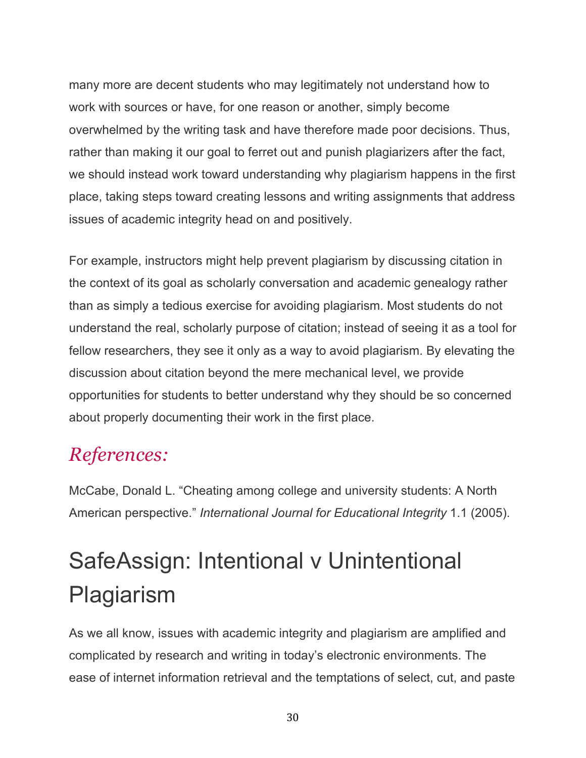many more are decent students who may legitimately not understand how to work with sources or have, for one reason or another, simply become overwhelmed by the writing task and have therefore made poor decisions. Thus, rather than making it our goal to ferret out and punish plagiarizers after the fact, we should instead work toward understanding why plagiarism happens in the first place, taking steps toward creating lessons and writing assignments that address issues of academic integrity head on and positively.

For example, instructors might help prevent plagiarism by discussing citation in the context of its goal as scholarly conversation and academic genealogy rather than as simply a tedious exercise for avoiding plagiarism. Most students do not understand the real, scholarly purpose of citation; instead of seeing it as a tool for fellow researchers, they see it only as a way to avoid plagiarism. By elevating the discussion about citation beyond the mere mechanical level, we provide opportunities for students to better understand why they should be so concerned about properly documenting their work in the first place.

## *References:*

McCabe, Donald L. "Cheating among college and university students: A North American perspective." *International Journal for Educational Integrity* 1.1 (2005).

# SafeAssign: Intentional v Unintentional Plagiarism

As we all know, issues with academic integrity and plagiarism are amplified and complicated by research and writing in today's electronic environments. The ease of internet information retrieval and the temptations of select, cut, and paste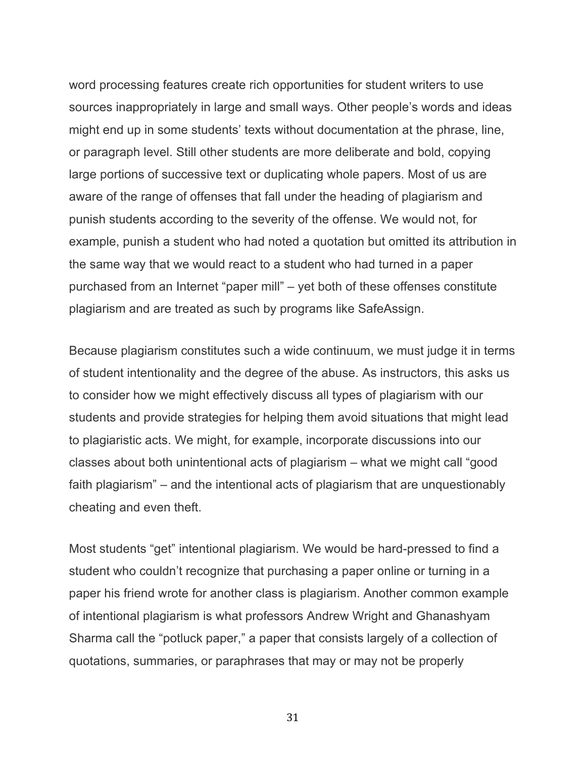word processing features create rich opportunities for student writers to use sources inappropriately in large and small ways. Other people's words and ideas might end up in some students' texts without documentation at the phrase, line, or paragraph level. Still other students are more deliberate and bold, copying large portions of successive text or duplicating whole papers. Most of us are aware of the range of offenses that fall under the heading of plagiarism and punish students according to the severity of the offense. We would not, for example, punish a student who had noted a quotation but omitted its attribution in the same way that we would react to a student who had turned in a paper purchased from an Internet "paper mill" – yet both of these offenses constitute plagiarism and are treated as such by programs like SafeAssign.

Because plagiarism constitutes such a wide continuum, we must judge it in terms of student intentionality and the degree of the abuse. As instructors, this asks us to consider how we might effectively discuss all types of plagiarism with our students and provide strategies for helping them avoid situations that might lead to plagiaristic acts. We might, for example, incorporate discussions into our classes about both unintentional acts of plagiarism – what we might call "good faith plagiarism" – and the intentional acts of plagiarism that are unquestionably cheating and even theft.

Most students "get" intentional plagiarism. We would be hard-pressed to find a student who couldn't recognize that purchasing a paper online or turning in a paper his friend wrote for another class is plagiarism. Another common example of intentional plagiarism is what professors Andrew Wright and Ghanashyam Sharma call the "potluck paper," a paper that consists largely of a collection of quotations, summaries, or paraphrases that may or may not be properly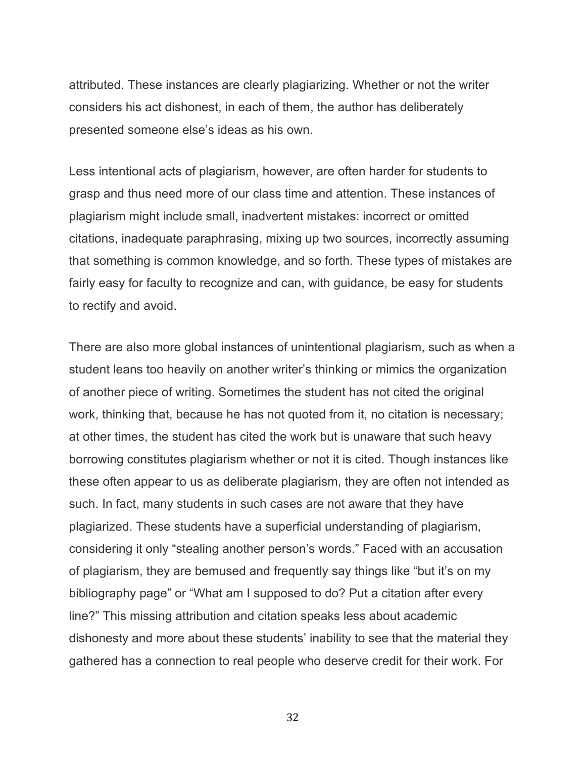attributed. These instances are clearly plagiarizing. Whether or not the writer considers his act dishonest, in each of them, the author has deliberately presented someone else's ideas as his own.

Less intentional acts of plagiarism, however, are often harder for students to grasp and thus need more of our class time and attention. These instances of plagiarism might include small, inadvertent mistakes: incorrect or omitted citations, inadequate paraphrasing, mixing up two sources, incorrectly assuming that something is common knowledge, and so forth. These types of mistakes are fairly easy for faculty to recognize and can, with guidance, be easy for students to rectify and avoid.

There are also more global instances of unintentional plagiarism, such as when a student leans too heavily on another writer's thinking or mimics the organization of another piece of writing. Sometimes the student has not cited the original work, thinking that, because he has not quoted from it, no citation is necessary; at other times, the student has cited the work but is unaware that such heavy borrowing constitutes plagiarism whether or not it is cited. Though instances like these often appear to us as deliberate plagiarism, they are often not intended as such. In fact, many students in such cases are not aware that they have plagiarized. These students have a superficial understanding of plagiarism, considering it only "stealing another person's words." Faced with an accusation of plagiarism, they are bemused and frequently say things like "but it's on my bibliography page" or "What am I supposed to do? Put a citation after every line?" This missing attribution and citation speaks less about academic dishonesty and more about these students' inability to see that the material they gathered has a connection to real people who deserve credit for their work. For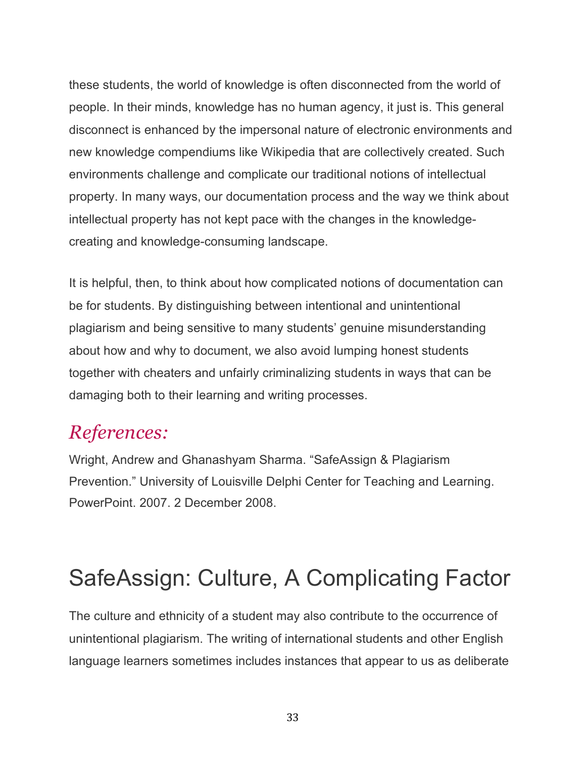these students, the world of knowledge is often disconnected from the world of people. In their minds, knowledge has no human agency, it just is. This general disconnect is enhanced by the impersonal nature of electronic environments and new knowledge compendiums like Wikipedia that are collectively created. Such environments challenge and complicate our traditional notions of intellectual property. In many ways, our documentation process and the way we think about intellectual property has not kept pace with the changes in the knowledgecreating and knowledge-consuming landscape.

It is helpful, then, to think about how complicated notions of documentation can be for students. By distinguishing between intentional and unintentional plagiarism and being sensitive to many students' genuine misunderstanding about how and why to document, we also avoid lumping honest students together with cheaters and unfairly criminalizing students in ways that can be damaging both to their learning and writing processes.

### *References:*

Wright, Andrew and Ghanashyam Sharma. "SafeAssign & Plagiarism Prevention." University of Louisville Delphi Center for Teaching and Learning. PowerPoint. 2007. 2 December 2008.

## SafeAssign: Culture, A Complicating Factor

The culture and ethnicity of a student may also contribute to the occurrence of unintentional plagiarism. The writing of international students and other English language learners sometimes includes instances that appear to us as deliberate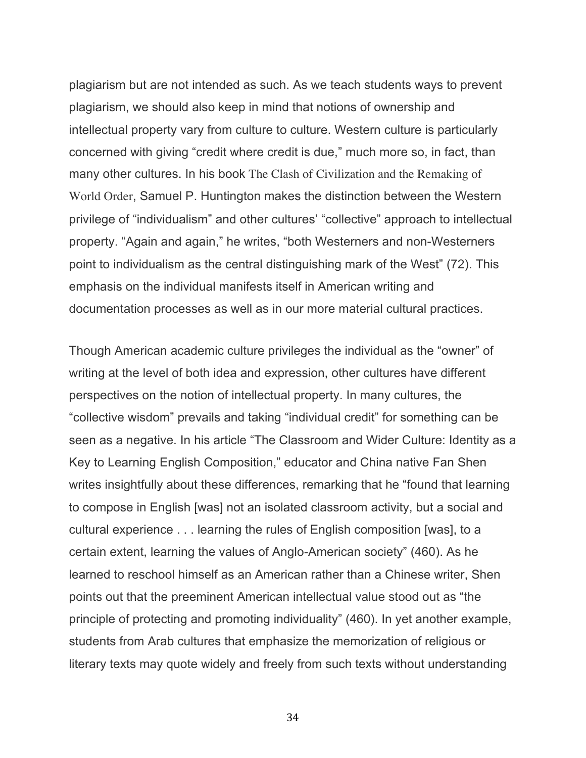plagiarism but are not intended as such. As we teach students ways to prevent plagiarism, we should also keep in mind that notions of ownership and intellectual property vary from culture to culture. Western culture is particularly concerned with giving "credit where credit is due," much more so, in fact, than many other cultures. In his book The Clash of Civilization and the Remaking of World Order, Samuel P. Huntington makes the distinction between the Western privilege of "individualism" and other cultures' "collective" approach to intellectual property. "Again and again," he writes, "both Westerners and non-Westerners point to individualism as the central distinguishing mark of the West" (72). This emphasis on the individual manifests itself in American writing and documentation processes as well as in our more material cultural practices.

Though American academic culture privileges the individual as the "owner" of writing at the level of both idea and expression, other cultures have different perspectives on the notion of intellectual property. In many cultures, the "collective wisdom" prevails and taking "individual credit" for something can be seen as a negative. In his article "The Classroom and Wider Culture: Identity as a Key to Learning English Composition," educator and China native Fan Shen writes insightfully about these differences, remarking that he "found that learning to compose in English [was] not an isolated classroom activity, but a social and cultural experience . . . learning the rules of English composition [was], to a certain extent, learning the values of Anglo-American society" (460). As he learned to reschool himself as an American rather than a Chinese writer, Shen points out that the preeminent American intellectual value stood out as "the principle of protecting and promoting individuality" (460). In yet another example, students from Arab cultures that emphasize the memorization of religious or literary texts may quote widely and freely from such texts without understanding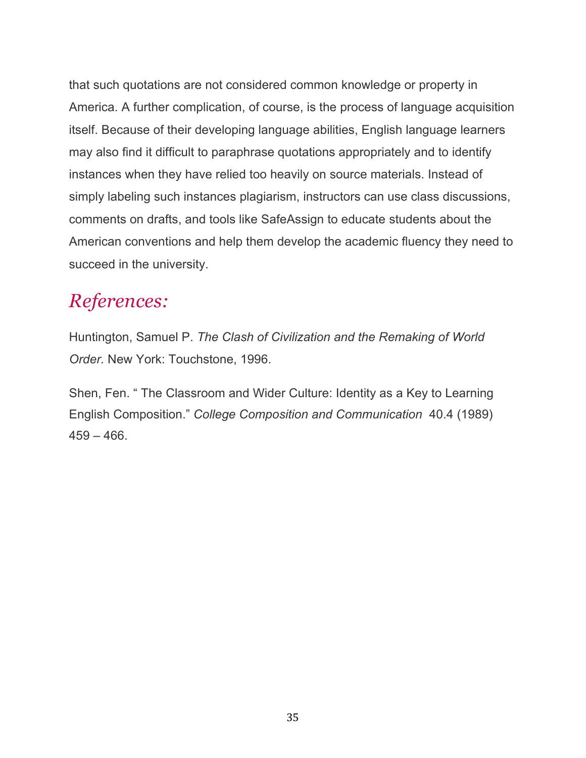that such quotations are not considered common knowledge or property in America. A further complication, of course, is the process of language acquisition itself. Because of their developing language abilities, English language learners may also find it difficult to paraphrase quotations appropriately and to identify instances when they have relied too heavily on source materials. Instead of simply labeling such instances plagiarism, instructors can use class discussions, comments on drafts, and tools like SafeAssign to educate students about the American conventions and help them develop the academic fluency they need to succeed in the university.

## *References:*

Huntington, Samuel P. *The Clash of Civilization and the Remaking of World Order.* New York: Touchstone, 1996.

Shen, Fen. " The Classroom and Wider Culture: Identity as a Key to Learning English Composition." *College Composition and Communication* 40.4 (1989)  $459 - 466.$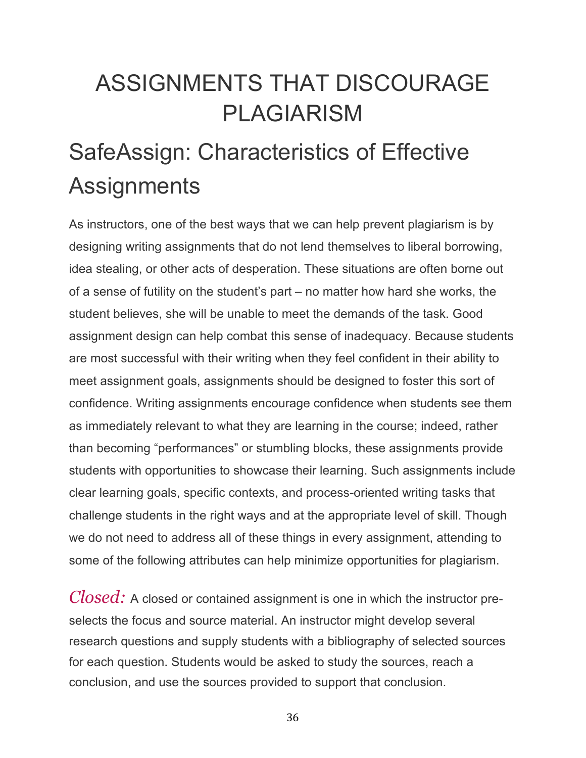# ASSIGNMENTS THAT DISCOURAGE PLAGIARISM

# SafeAssign: Characteristics of Effective **Assignments**

As instructors, one of the best ways that we can help prevent plagiarism is by designing writing assignments that do not lend themselves to liberal borrowing, idea stealing, or other acts of desperation. These situations are often borne out of a sense of futility on the student's part – no matter how hard she works, the student believes, she will be unable to meet the demands of the task. Good assignment design can help combat this sense of inadequacy. Because students are most successful with their writing when they feel confident in their ability to meet assignment goals, assignments should be designed to foster this sort of confidence. Writing assignments encourage confidence when students see them as immediately relevant to what they are learning in the course; indeed, rather than becoming "performances" or stumbling blocks, these assignments provide students with opportunities to showcase their learning. Such assignments include clear learning goals, specific contexts, and process-oriented writing tasks that challenge students in the right ways and at the appropriate level of skill. Though we do not need to address all of these things in every assignment, attending to some of the following attributes can help minimize opportunities for plagiarism.

*Closed:* A closed or contained assignment is one in which the instructor preselects the focus and source material. An instructor might develop several research questions and supply students with a bibliography of selected sources for each question. Students would be asked to study the sources, reach a conclusion, and use the sources provided to support that conclusion.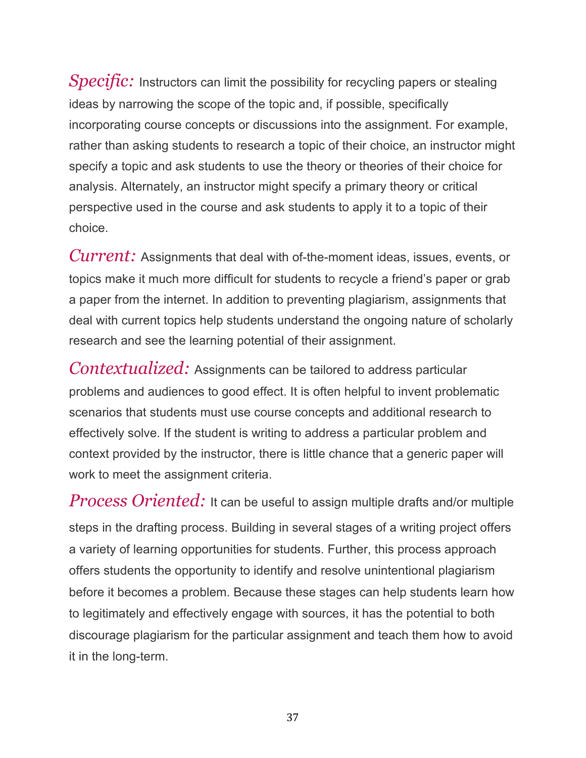*Specific:* Instructors can limit the possibility for recycling papers or stealing ideas by narrowing the scope of the topic and, if possible, specifically incorporating course concepts or discussions into the assignment. For example, rather than asking students to research a topic of their choice, an instructor might specify a topic and ask students to use the theory or theories of their choice for analysis. Alternately, an instructor might specify a primary theory or critical perspective used in the course and ask students to apply it to a topic of their choice.

*Current:* Assignments that deal with of-the-moment ideas, issues, events, or topics make it much more difficult for students to recycle a friend's paper or grab a paper from the internet. In addition to preventing plagiarism, assignments that deal with current topics help students understand the ongoing nature of scholarly research and see the learning potential of their assignment.

*Contextualized:* Assignments can be tailored to address particular problems and audiences to good effect. It is often helpful to invent problematic scenarios that students must use course concepts and additional research to effectively solve. If the student is writing to address a particular problem and context provided by the instructor, there is little chance that a generic paper will work to meet the assignment criteria.

*Process Oriented:* It can be useful to assign multiple drafts and/or multiple steps in the drafting process. Building in several stages of a writing project offers a variety of learning opportunities for students. Further, this process approach offers students the opportunity to identify and resolve unintentional plagiarism before it becomes a problem. Because these stages can help students learn how to legitimately and effectively engage with sources, it has the potential to both discourage plagiarism for the particular assignment and teach them how to avoid it in the long-term.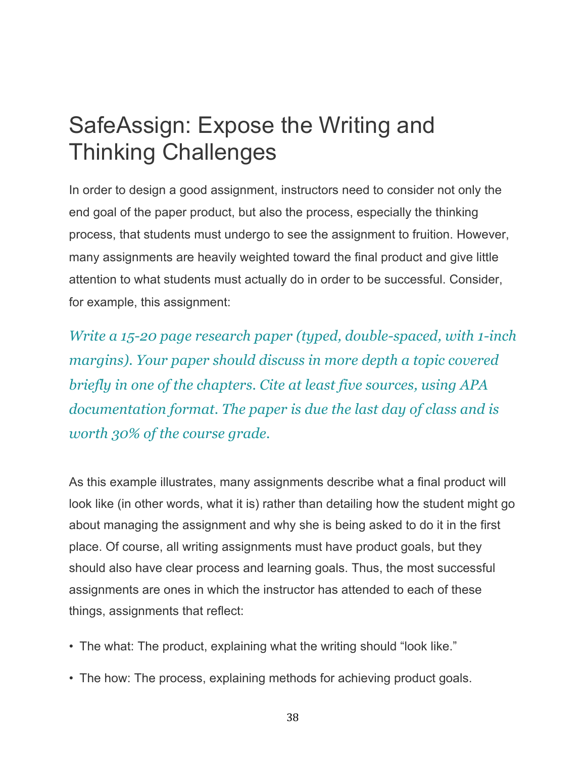## SafeAssign: Expose the Writing and Thinking Challenges

In order to design a good assignment, instructors need to consider not only the end goal of the paper product, but also the process, especially the thinking process, that students must undergo to see the assignment to fruition. However, many assignments are heavily weighted toward the final product and give little attention to what students must actually do in order to be successful. Consider, for example, this assignment:

*Write a 15-20 page research paper (typed, double-spaced, with 1-inch margins). Your paper should discuss in more depth a topic covered briefly in one of the chapters. Cite at least five sources, using APA documentation format. The paper is due the last day of class and is worth 30% of the course grade.*

As this example illustrates, many assignments describe what a final product will look like (in other words, what it is) rather than detailing how the student might go about managing the assignment and why she is being asked to do it in the first place. Of course, all writing assignments must have product goals, but they should also have clear process and learning goals. Thus, the most successful assignments are ones in which the instructor has attended to each of these things, assignments that reflect:

- The what: The product, explaining what the writing should "look like."
- The how: The process, explaining methods for achieving product goals.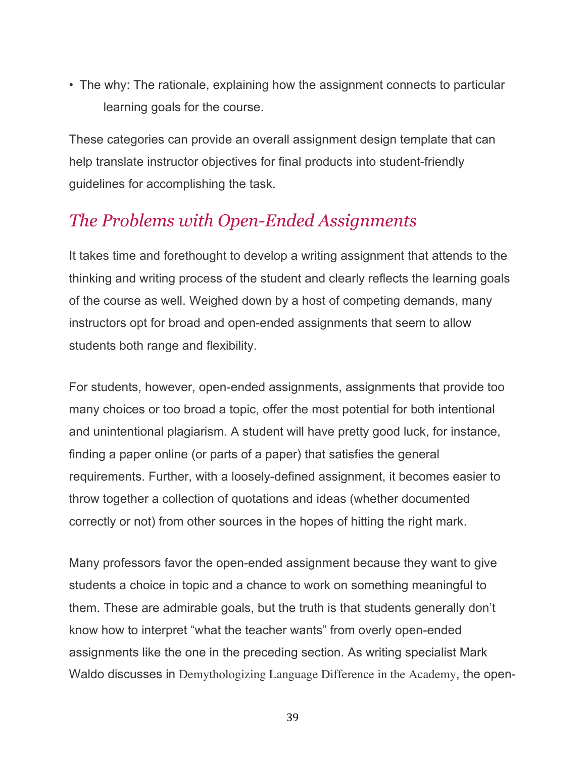• The why: The rationale, explaining how the assignment connects to particular learning goals for the course.

These categories can provide an overall assignment design template that can help translate instructor objectives for final products into student-friendly guidelines for accomplishing the task.

#### *The Problems with Open-Ended Assignments*

It takes time and forethought to develop a writing assignment that attends to the thinking and writing process of the student and clearly reflects the learning goals of the course as well. Weighed down by a host of competing demands, many instructors opt for broad and open-ended assignments that seem to allow students both range and flexibility.

For students, however, open-ended assignments, assignments that provide too many choices or too broad a topic, offer the most potential for both intentional and unintentional plagiarism. A student will have pretty good luck, for instance, finding a paper online (or parts of a paper) that satisfies the general requirements. Further, with a loosely-defined assignment, it becomes easier to throw together a collection of quotations and ideas (whether documented correctly or not) from other sources in the hopes of hitting the right mark.

Many professors favor the open-ended assignment because they want to give students a choice in topic and a chance to work on something meaningful to them. These are admirable goals, but the truth is that students generally don't know how to interpret "what the teacher wants" from overly open-ended assignments like the one in the preceding section. As writing specialist Mark Waldo discusses in Demythologizing Language Difference in the Academy, the open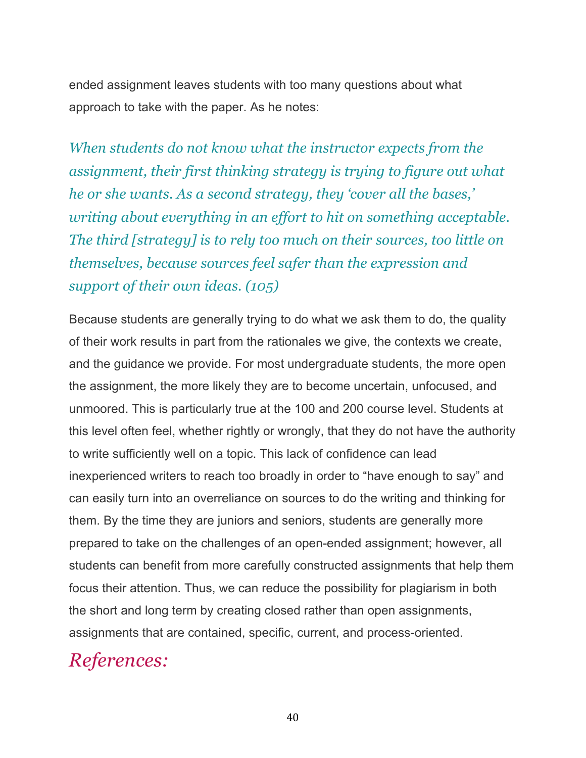ended assignment leaves students with too many questions about what approach to take with the paper. As he notes:

*When students do not know what the instructor expects from the assignment, their first thinking strategy is trying to figure out what he or she wants. As a second strategy, they 'cover all the bases,' writing about everything in an effort to hit on something acceptable. The third [strategy] is to rely too much on their sources, too little on themselves, because sources feel safer than the expression and support of their own ideas. (105)*

Because students are generally trying to do what we ask them to do, the quality of their work results in part from the rationales we give, the contexts we create, and the guidance we provide. For most undergraduate students, the more open the assignment, the more likely they are to become uncertain, unfocused, and unmoored. This is particularly true at the 100 and 200 course level. Students at this level often feel, whether rightly or wrongly, that they do not have the authority to write sufficiently well on a topic. This lack of confidence can lead inexperienced writers to reach too broadly in order to "have enough to say" and can easily turn into an overreliance on sources to do the writing and thinking for them. By the time they are juniors and seniors, students are generally more prepared to take on the challenges of an open-ended assignment; however, all students can benefit from more carefully constructed assignments that help them focus their attention. Thus, we can reduce the possibility for plagiarism in both the short and long term by creating closed rather than open assignments, assignments that are contained, specific, current, and process-oriented.

## *References:*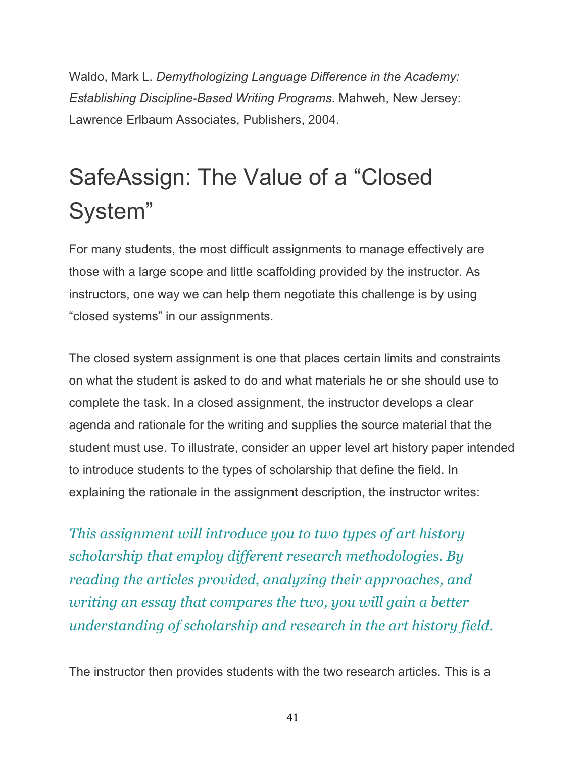Waldo, Mark L. *Demythologizing Language Difference in the Academy: Establishing Discipline-Based Writing Programs*. Mahweh, New Jersey: Lawrence Erlbaum Associates, Publishers, 2004.

# SafeAssign: The Value of a "Closed System"

For many students, the most difficult assignments to manage effectively are those with a large scope and little scaffolding provided by the instructor. As instructors, one way we can help them negotiate this challenge is by using "closed systems" in our assignments.

The closed system assignment is one that places certain limits and constraints on what the student is asked to do and what materials he or she should use to complete the task. In a closed assignment, the instructor develops a clear agenda and rationale for the writing and supplies the source material that the student must use. To illustrate, consider an upper level art history paper intended to introduce students to the types of scholarship that define the field. In explaining the rationale in the assignment description, the instructor writes:

*This assignment will introduce you to two types of art history scholarship that employ different research methodologies. By reading the articles provided, analyzing their approaches, and writing an essay that compares the two, you will gain a better understanding of scholarship and research in the art history field.*

The instructor then provides students with the two research articles. This is a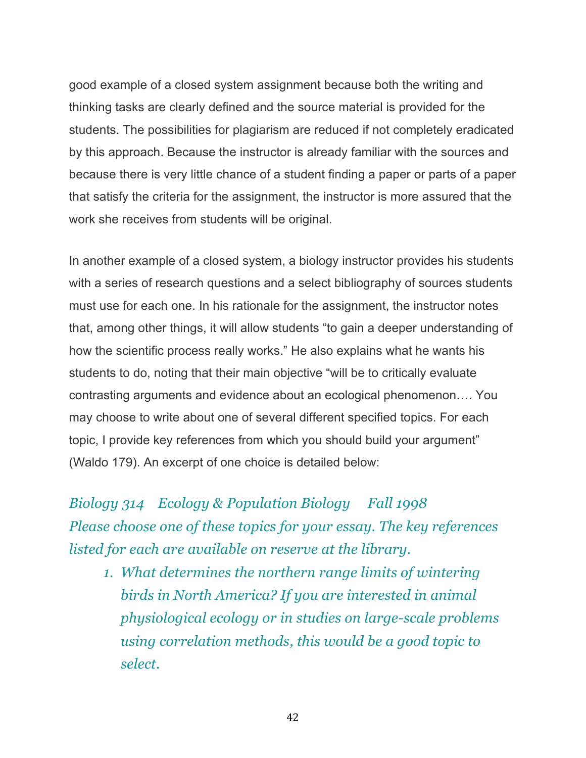good example of a closed system assignment because both the writing and thinking tasks are clearly defined and the source material is provided for the students. The possibilities for plagiarism are reduced if not completely eradicated by this approach. Because the instructor is already familiar with the sources and because there is very little chance of a student finding a paper or parts of a paper that satisfy the criteria for the assignment, the instructor is more assured that the work she receives from students will be original.

In another example of a closed system, a biology instructor provides his students with a series of research questions and a select bibliography of sources students must use for each one. In his rationale for the assignment, the instructor notes that, among other things, it will allow students "to gain a deeper understanding of how the scientific process really works." He also explains what he wants his students to do, noting that their main objective "will be to critically evaluate contrasting arguments and evidence about an ecological phenomenon…. You may choose to write about one of several different specified topics. For each topic, I provide key references from which you should build your argument" (Waldo 179). An excerpt of one choice is detailed below:

*Biology 314 Ecology & Population Biology Fall 1998 Please choose one of these topics for your essay. The key references listed for each are available on reserve at the library.*

*1. What determines the northern range limits of wintering birds in North America? If you are interested in animal physiological ecology or in studies on large-scale problems using correlation methods, this would be a good topic to select.*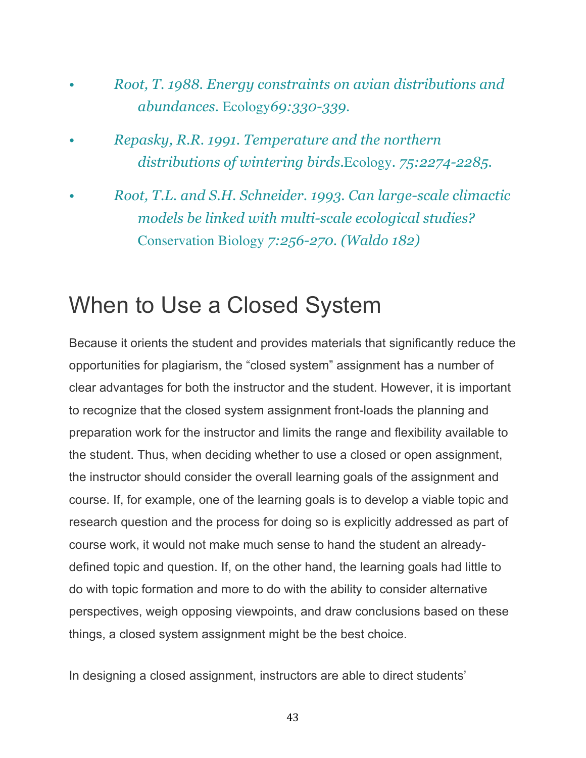- *Root, T. 1988. Energy constraints on avian distributions and abundances.* Ecology*69:330-339.*
- *Repasky, R.R. 1991. Temperature and the northern distributions of wintering birds.*Ecology*. 75:2274-2285.*
- *Root, T.L. and S.H. Schneider. 1993. Can large-scale climactic models be linked with multi-scale ecological studies?*  Conservation Biology *7:256-270. (Waldo 182)*

## When to Use a Closed System

Because it orients the student and provides materials that significantly reduce the opportunities for plagiarism, the "closed system" assignment has a number of clear advantages for both the instructor and the student. However, it is important to recognize that the closed system assignment front-loads the planning and preparation work for the instructor and limits the range and flexibility available to the student. Thus, when deciding whether to use a closed or open assignment, the instructor should consider the overall learning goals of the assignment and course. If, for example, one of the learning goals is to develop a viable topic and research question and the process for doing so is explicitly addressed as part of course work, it would not make much sense to hand the student an alreadydefined topic and question. If, on the other hand, the learning goals had little to do with topic formation and more to do with the ability to consider alternative perspectives, weigh opposing viewpoints, and draw conclusions based on these things, a closed system assignment might be the best choice.

In designing a closed assignment, instructors are able to direct students'